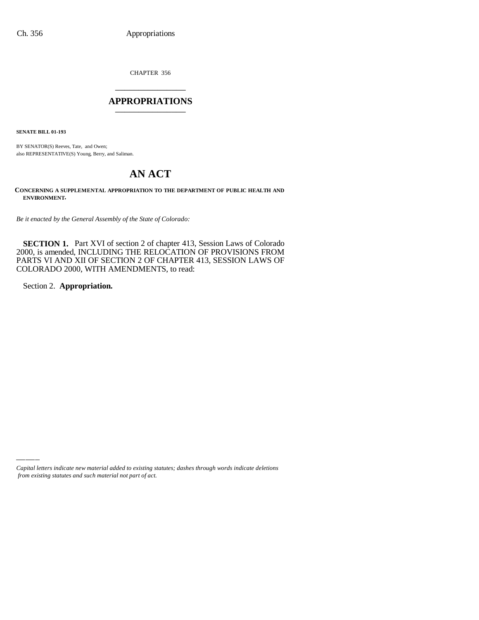CHAPTER 356 \_\_\_\_\_\_\_\_\_\_\_\_\_\_\_

## **APPROPRIATIONS** \_\_\_\_\_\_\_\_\_\_\_\_\_\_\_

**SENATE BILL 01-193**

BY SENATOR(S) Reeves, Tate, and Owen; also REPRESENTATIVE(S) Young, Berry, and Saliman.

# **AN ACT**

**CONCERNING A SUPPLEMENTAL APPROPRIATION TO THE DEPARTMENT OF PUBLIC HEALTH AND ENVIRONMENT.**

*Be it enacted by the General Assembly of the State of Colorado:*

**SECTION 1.** Part XVI of section 2 of chapter 413, Session Laws of Colorado 2000, is amended, INCLUDING THE RELOCATION OF PROVISIONS FROM PARTS VI AND XII OF SECTION 2 OF CHAPTER 413, SESSION LAWS OF COLORADO 2000, WITH AMENDMENTS, to read:

Section 2. **Appropriation.**

*Capital letters indicate new material added to existing statutes; dashes through words indicate deletions from existing statutes and such material not part of act.*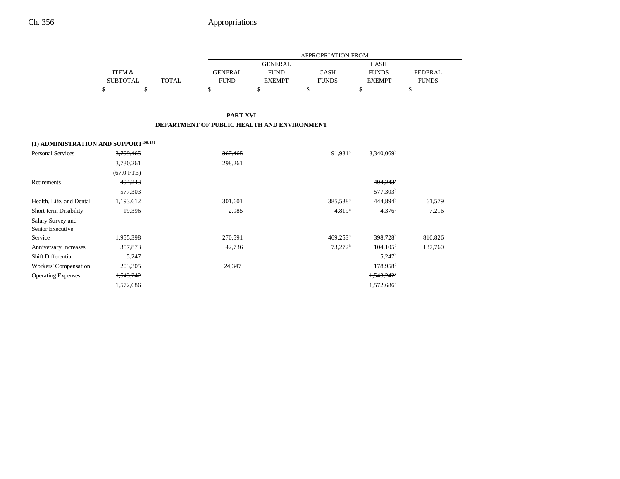|                 |              |                | APPROPRIATION FROM |              |               |                |  |  |
|-----------------|--------------|----------------|--------------------|--------------|---------------|----------------|--|--|
|                 |              |                | <b>GENERAL</b>     |              | CASH          |                |  |  |
| ITEM &          |              | <b>GENERAL</b> | <b>FUND</b>        | CASH         | <b>FUNDS</b>  | <b>FEDERAL</b> |  |  |
| <b>SUBTOTAL</b> | <b>TOTAL</b> | <b>FUND</b>    | <b>EXEMPT</b>      | <b>FUNDS</b> | <b>EXEMPT</b> | <b>FUNDS</b>   |  |  |
|                 |              |                |                    |              |               |                |  |  |

### **PART XVI DEPARTMENT OF PUBLIC HEALTH AND ENVIRONMENT**

# **(1) ADMINISTRATION AND SUPPORT190, 191**

| <b>Personal Services</b>  | 3,799,465    | 367,465 | 91,931 <sup>a</sup>    | $3,340,069^{\rm b}$    |         |
|---------------------------|--------------|---------|------------------------|------------------------|---------|
|                           | 3,730,261    | 298,261 |                        |                        |         |
|                           | $(67.0$ FTE) |         |                        |                        |         |
| Retirements               | 494,243      |         |                        | $494,243$ <sup>b</sup> |         |
|                           | 577,303      |         |                        | 577,303 <sup>b</sup>   |         |
| Health, Life, and Dental  | 1,193,612    | 301,601 | 385,538 <sup>a</sup>   | 444,894 <sup>b</sup>   | 61,579  |
| Short-term Disability     | 19,396       | 2,985   | $4,819^a$              | $4,376^b$              | 7,216   |
| Salary Survey and         |              |         |                        |                        |         |
| Senior Executive          |              |         |                        |                        |         |
| Service                   | 1,955,398    | 270,591 | $469,253$ <sup>a</sup> | 398,728 <sup>b</sup>   | 816,826 |
| Anniversary Increases     | 357,873      | 42,736  | $73,272^{\rm a}$       | $104, 105^{\rm b}$     | 137,760 |
| Shift Differential        | 5,247        |         |                        | $5,247^{\rm b}$        |         |
| Workers' Compensation     | 203,305      | 24,347  |                        | 178,958 <sup>b</sup>   |         |
| <b>Operating Expenses</b> | 1,543,242    |         |                        | $1,543,242^{\circ}$    |         |
|                           | 1,572,686    |         |                        | 1,572,686 <sup>b</sup> |         |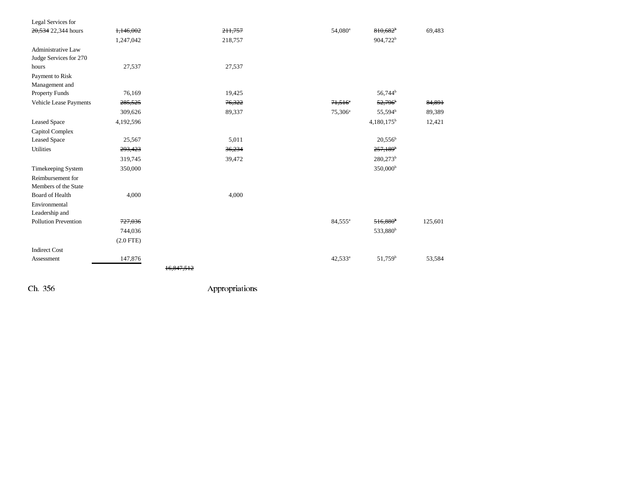| Legal Services for          |             |                       |                       |                        |         |
|-----------------------------|-------------|-----------------------|-----------------------|------------------------|---------|
| 20,534 22,344 hours         | 1,146,002   | 211.757               | 54,080 <sup>a</sup>   | $810.682$ <sup>b</sup> | 69,483  |
|                             | 1,247,042   | 218,757               |                       | 904,722 <sup>b</sup>   |         |
| <b>Administrative Law</b>   |             |                       |                       |                        |         |
| Judge Services for 270      |             |                       |                       |                        |         |
| hours                       | 27,537      | 27,537                |                       |                        |         |
| Payment to Risk             |             |                       |                       |                        |         |
| Management and              |             |                       |                       |                        |         |
| Property Funds              | 76,169      | 19,425                |                       | 56,744 <sup>b</sup>    |         |
| Vehicle Lease Payments      | 285,525     | 76,322                | $71,516$ <sup>*</sup> | 52,796                 | 84,891  |
|                             | 309,626     | 89,337                | 75,306 <sup>a</sup>   | 55,594 <sup>b</sup>    | 89,389  |
| <b>Leased Space</b>         | 4,192,596   |                       |                       | $4,180,175^b$          | 12,421  |
| Capitol Complex             |             |                       |                       |                        |         |
| <b>Leased Space</b>         | 25,567      | 5,011                 |                       | $20,556^{\rm b}$       |         |
| Utilities                   | 293,423     | 36,234                |                       | $257,189$ <sup>b</sup> |         |
|                             | 319,745     | 39,472                |                       | 280,273 <sup>b</sup>   |         |
| Timekeeping System          | 350,000     |                       |                       | 350,000 <sup>b</sup>   |         |
| Reimbursement for           |             |                       |                       |                        |         |
| Members of the State        |             |                       |                       |                        |         |
| Board of Health             | 4,000       | 4,000                 |                       |                        |         |
| Environmental               |             |                       |                       |                        |         |
| Leadership and              |             |                       |                       |                        |         |
| <b>Pollution Prevention</b> | 727,036     |                       | 84,555 <sup>a</sup>   | $516,880$ <sup>b</sup> | 125,601 |
|                             | 744,036     |                       |                       | 533,880 <sup>b</sup>   |         |
|                             | $(2.0$ FTE) |                       |                       |                        |         |
| <b>Indirect Cost</b>        |             |                       |                       |                        |         |
| Assessment                  | 147,876     |                       | 42,533 <sup>a</sup>   | 51,759 <sup>b</sup>    | 53,584  |
|                             |             | <del>16.847.512</del> |                       |                        |         |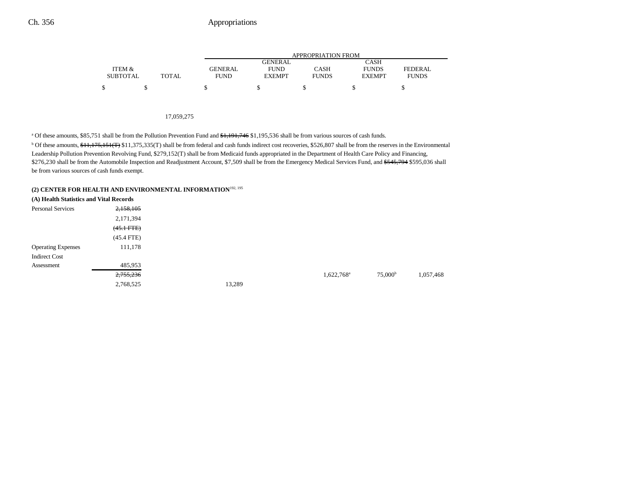|                 |              |             | APPROPRIATION FROM |              |               |              |  |  |  |
|-----------------|--------------|-------------|--------------------|--------------|---------------|--------------|--|--|--|
|                 |              |             | GENERAL            |              | CASH          |              |  |  |  |
| ITEM &          |              | GENERAL     | <b>FUND</b>        | CASH         | <b>FUNDS</b>  | FEDERAL      |  |  |  |
| <b>SUBTOTAL</b> | <b>TOTAL</b> | <b>FUND</b> | <b>EXEMPT</b>      | <b>FUNDS</b> | <b>EXEMPT</b> | <b>FUNDS</b> |  |  |  |
|                 |              |             |                    |              |               |              |  |  |  |

#### 17,059,275

<sup>a</sup> Of these amounts, \$85,751 shall be from the Pollution Prevention Fund and  $\frac{4,191,746}{31,195,536}$  shall be from various sources of cash funds.

<sup>b</sup> Of these amounts, \$11,175,151(T) \$11,375,335(T) shall be from federal and cash funds indirect cost recoveries, \$526,807 shall be from the reserves in the Environmental Leadership Pollution Prevention Revolving Fund, \$279,152(T) shall be from Medicaid funds appropriated in the Department of Health Care Policy and Financing, \$276,230 shall be from the Automobile Inspection and Readjustment Account, \$7,509 shall be from the Emergency Medical Services Fund, and \$545,794 \$595,036 shall be from various sources of cash funds exempt.

# **(2) CENTER FOR HEALTH AND ENVIRONMENTAL INFORMATION**192, 195

| (A) Health Statistics and Vital Records |                 |        |                          |                     |           |
|-----------------------------------------|-----------------|--------|--------------------------|---------------------|-----------|
| Personal Services                       | 2,158,105       |        |                          |                     |           |
|                                         | 2,171,394       |        |                          |                     |           |
|                                         | $(45.1$ FTE $)$ |        |                          |                     |           |
|                                         | $(45.4$ FTE)    |        |                          |                     |           |
| <b>Operating Expenses</b>               | 111,178         |        |                          |                     |           |
| <b>Indirect Cost</b>                    |                 |        |                          |                     |           |
| Assessment                              | 485,953         |        |                          |                     |           |
|                                         | 2,755,236       |        | $1,622,768$ <sup>a</sup> | 75,000 <sup>b</sup> | 1,057,468 |
|                                         | 2,768,525       | 13,289 |                          |                     |           |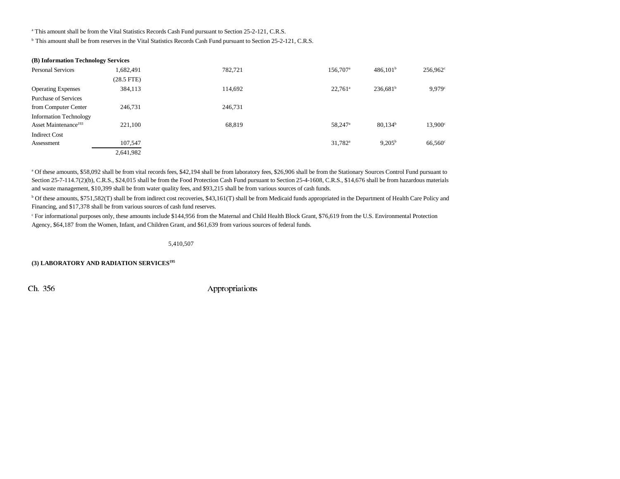<sup>a</sup> This amount shall be from the Vital Statistics Records Cash Fund pursuant to Section 25-2-121, C.R.S.

b This amount shall be from reserves in the Vital Statistics Records Cash Fund pursuant to Section 25-2-121, C.R.S.

| (B) Information Technology Services |                 |         |                      |                      |                      |
|-------------------------------------|-----------------|---------|----------------------|----------------------|----------------------|
| <b>Personal Services</b>            | 1,682,491       | 782.721 | 156,707 <sup>a</sup> | 486,101 <sup>b</sup> | 256,962 <sup>c</sup> |
|                                     | $(28.5$ FTE $)$ |         |                      |                      |                      |
| <b>Operating Expenses</b>           | 384,113         | 114,692 | $22.761^a$           | $236,681^b$          | 9.979c               |
| <b>Purchase of Services</b>         |                 |         |                      |                      |                      |
| from Computer Center                | 246,731         | 246,731 |                      |                      |                      |
| <b>Information Technology</b>       |                 |         |                      |                      |                      |
| Asset Maintenance <sup>193</sup>    | 221,100         | 68,819  | 58,247 <sup>a</sup>  | 80,134 <sup>b</sup>  | $13,900^{\circ}$     |
| <b>Indirect Cost</b>                |                 |         |                      |                      |                      |
| Assessment                          | 107,547         |         | $31,782^{\rm a}$     | $9,205^{\rm b}$      | $66,560^\circ$       |
|                                     | 2,641,982       |         |                      |                      |                      |

<sup>a</sup> Of these amounts, \$58,092 shall be from vital records fees, \$42,194 shall be from laboratory fees, \$26,906 shall be from the Stationary Sources Control Fund pursuant to Section 25-7-114.7(2)(b), C.R.S., \$24,015 shall be from the Food Protection Cash Fund pursuant to Section 25-4-1608, C.R.S., \$14,676 shall be from hazardous materials and waste management, \$10,399 shall be from water quality fees, and \$93,215 shall be from various sources of cash funds.

b Of these amounts, \$751,582(T) shall be from indirect cost recoveries, \$43,161(T) shall be from Medicaid funds appropriated in the Department of Health Care Policy and Financing, and \$17,378 shall be from various sources of cash fund reserves.

c For informational purposes only, these amounts include \$144,956 from the Maternal and Child Health Block Grant, \$76,619 from the U.S. Environmental Protection Agency, \$64,187 from the Women, Infant, and Children Grant, and \$61,639 from various sources of federal funds.

5,410,507

**(3) LABORATORY AND RADIATION SERVICES195**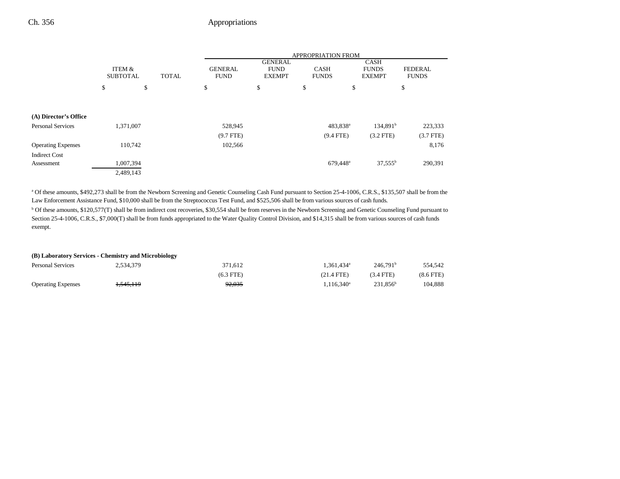|                           |                           |              |                               |                                                |                             | <b>APPROPRIATION FROM</b> |                                              |                                |
|---------------------------|---------------------------|--------------|-------------------------------|------------------------------------------------|-----------------------------|---------------------------|----------------------------------------------|--------------------------------|
|                           | ITEM &<br><b>SUBTOTAL</b> | <b>TOTAL</b> | <b>GENERAL</b><br><b>FUND</b> | <b>GENERAL</b><br><b>FUND</b><br><b>EXEMPT</b> | <b>CASH</b><br><b>FUNDS</b> |                           | <b>CASH</b><br><b>FUNDS</b><br><b>EXEMPT</b> | <b>FEDERAL</b><br><b>FUNDS</b> |
|                           | \$                        | \$           | \$                            | \$                                             | \$                          | \$                        |                                              | \$                             |
| (A) Director's Office     |                           |              |                               |                                                |                             |                           |                                              |                                |
| <b>Personal Services</b>  | 1,371,007                 |              | 528,945                       |                                                |                             | 483,838 <sup>a</sup>      | 134.891 <sup>b</sup>                         | 223,333                        |
|                           |                           |              | $(9.7$ FTE)                   |                                                |                             | $(9.4$ FTE)               | $(3.2$ FTE)                                  | $(3.7$ FTE)                    |
| <b>Operating Expenses</b> | 110,742                   |              | 102,566                       |                                                |                             |                           |                                              | 8,176                          |
| <b>Indirect Cost</b>      |                           |              |                               |                                                |                             |                           |                                              |                                |
| Assessment                | 1,007,394                 |              |                               |                                                |                             | 679,448 <sup>a</sup>      | $37,555^{\rm b}$                             | 290,391                        |
|                           | 2,489,143                 |              |                               |                                                |                             |                           |                                              |                                |

<sup>a</sup> Of these amounts, \$492,273 shall be from the Newborn Screening and Genetic Counseling Cash Fund pursuant to Section 25-4-1006, C.R.S., \$135,507 shall be from the Law Enforcement Assistance Fund, \$10,000 shall be from the Streptococcus Test Fund, and \$525,506 shall be from various sources of cash funds.

b Of these amounts, \$120,577(T) shall be from indirect cost recoveries, \$30,554 shall be from reserves in the Newborn Screening and Genetic Counseling Fund pursuant to Section 25-4-1006, C.R.S., \$7,000(T) shall be from funds appropriated to the Water Quality Control Division, and \$14,315 shall be from various sources of cash funds exempt.

### **(B) Laboratory Services - Chemistry and Microbiology**

| <b>Personal Services</b>  | 2,534,379              | 371.612     | .361.434ª         | 246.791 <sup>b</sup> | 554.542        |
|---------------------------|------------------------|-------------|-------------------|----------------------|----------------|
|                           |                        | $(6.3$ FTE) | $(21.4$ FTE)      | $(3.4$ FTE)          | $(8.6$ FTE $)$ |
| <b>Operating Expenses</b> | <del>I, 545, 119</del> | 92,035      | $116.340^{\circ}$ | 231,856 <sup>b</sup> | 104,888        |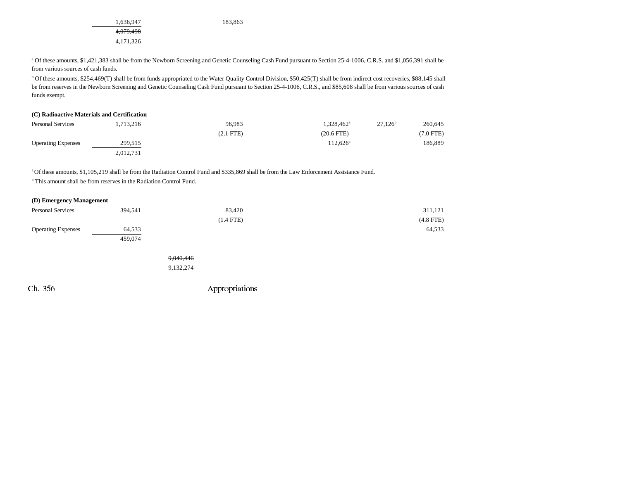1,636,947 183,863 4,079,498 4,171,326

<sup>a</sup> Of these amounts, \$1,421,383 shall be from the Newborn Screening and Genetic Counseling Cash Fund pursuant to Section 25-4-1006, C.R.S. and \$1,056,391 shall be from various sources of cash funds.

b Of these amounts, \$254,469(T) shall be from funds appropriated to the Water Quality Control Division, \$50,425(T) shall be from indirect cost recoveries, \$88,145 shall be from reserves in the Newborn Screening and Genetic Counseling Cash Fund pursuant to Section 25-4-1006, C.R.S., and \$85,608 shall be from various sources of cash funds exempt.

| (C) Radioactive Materials and Certification |           |             |                        |            |                |
|---------------------------------------------|-----------|-------------|------------------------|------------|----------------|
| <b>Personal Services</b>                    | 1.713.216 | 96.983      | 1.328.462 <sup>a</sup> | $27.126^b$ | 260,645        |
|                                             |           | $(2.1$ FTE) | $(20.6$ FTE)           |            | $(7.0$ FTE $)$ |
| <b>Operating Expenses</b>                   | 299,515   |             | $112.626^a$            |            | 186.889        |
|                                             | 2,012,731 |             |                        |            |                |

a Of these amounts, \$1,105,219 shall be from the Radiation Control Fund and \$335,869 shall be from the Law Enforcement Assistance Fund.

b This amount shall be from reserves in the Radiation Control Fund.

### **(D) Emergency Management**

| <b>Personal Services</b>  | 394,541 | 83,420      | 311,121     |
|---------------------------|---------|-------------|-------------|
|                           |         | $(1.4$ FTE) | $(4.8$ FTE) |
| <b>Operating Expenses</b> | 64,533  |             | 64,533      |
|                           | 459,074 |             |             |
|                           |         |             |             |
|                           |         | 9,040,446   |             |

9,132,274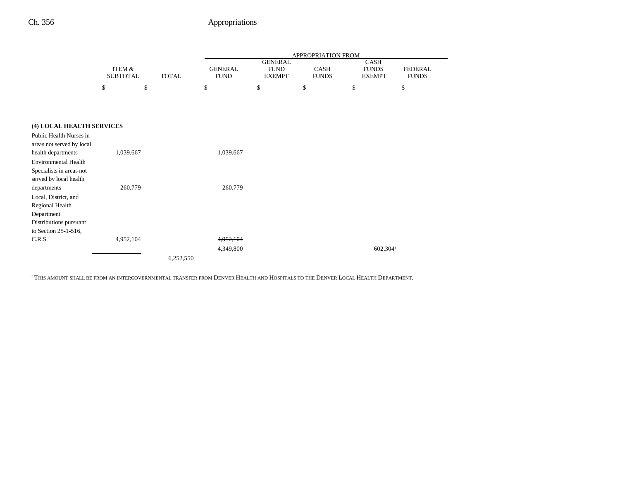|                             |                                      |              |                               |                                                | APPROPRIATION FROM          |                                       |                                |
|-----------------------------|--------------------------------------|--------------|-------------------------------|------------------------------------------------|-----------------------------|---------------------------------------|--------------------------------|
|                             | <b>ITEM &amp;</b><br><b>SUBTOTAL</b> | <b>TOTAL</b> | <b>GENERAL</b><br><b>FUND</b> | <b>GENERAL</b><br><b>FUND</b><br><b>EXEMPT</b> | <b>CASH</b><br><b>FUNDS</b> | CASH<br><b>FUNDS</b><br><b>EXEMPT</b> | <b>FEDERAL</b><br><b>FUNDS</b> |
|                             | \$<br>\$                             |              | \$                            | \$                                             | \$                          | \$                                    | $\mathbb{S}$                   |
|                             |                                      |              |                               |                                                |                             |                                       |                                |
|                             |                                      |              |                               |                                                |                             |                                       |                                |
| (4) LOCAL HEALTH SERVICES   |                                      |              |                               |                                                |                             |                                       |                                |
| Public Health Nurses in     |                                      |              |                               |                                                |                             |                                       |                                |
| areas not served by local   |                                      |              |                               |                                                |                             |                                       |                                |
| health departments          | 1,039,667                            |              | 1,039,667                     |                                                |                             |                                       |                                |
| <b>Environmental Health</b> |                                      |              |                               |                                                |                             |                                       |                                |
| Specialists in areas not    |                                      |              |                               |                                                |                             |                                       |                                |
| served by local health      |                                      |              |                               |                                                |                             |                                       |                                |
| departments                 | 260,779                              |              | 260,779                       |                                                |                             |                                       |                                |
| Local, District, and        |                                      |              |                               |                                                |                             |                                       |                                |
| Regional Health             |                                      |              |                               |                                                |                             |                                       |                                |
| Department                  |                                      |              |                               |                                                |                             |                                       |                                |
| Distributions pursuant      |                                      |              |                               |                                                |                             |                                       |                                |
| to Section 25-1-516,        |                                      |              |                               |                                                |                             |                                       |                                |
| C.R.S.                      | 4,952,104                            |              | 4,952,104                     |                                                |                             |                                       |                                |
|                             |                                      |              | 4,349,800                     |                                                |                             | 602,304 <sup>a</sup>                  |                                |
|                             |                                      | 6,252,550    |                               |                                                |                             |                                       |                                |

a THIS AMOUNT SHALL BE FROM AN INTERGOVERNMENTAL TRANSFER FROM DENVER HEALTH AND HOSPITALS TO THE DENVER LOCAL HEALTH DEPARTMENT.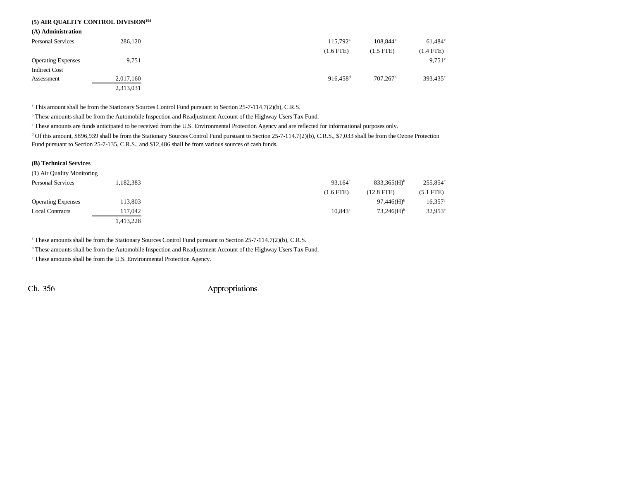## **(5) AIR QUALITY CONTROL DIVISION194**

**(A) Administration**

| <b>Personal Services</b>  | 286,120   | $115.792^{\text{a}}$   | $108.844^b$          | $61.484^{\circ}$     |
|---------------------------|-----------|------------------------|----------------------|----------------------|
|                           |           | $(1.6$ FTE)            | $(1.5$ FTE)          | (1.4 FTE)            |
| <b>Operating Expenses</b> | 9,751     |                        |                      | $9,751^{\circ}$      |
| <b>Indirect Cost</b>      |           |                        |                      |                      |
| Assessment                | 2,017,160 | $916.458$ <sup>d</sup> | 707.267 <sup>b</sup> | 393,435 <sup>c</sup> |
|                           | 2,313,031 |                        |                      |                      |

<sup>a</sup> This amount shall be from the Stationary Sources Control Fund pursuant to Section 25-7-114.7(2)(b), C.R.S.

b These amounts shall be from the Automobile Inspection and Readjustment Account of the Highway Users Tax Fund.

c These amounts are funds anticipated to be received from the U.S. Environmental Protection Agency and are reflected for informational purposes only.

<sup>d</sup> Of this amount, \$896,939 shall be from the Stationary Sources Control Fund pursuant to Section 25-7-114.7(2)(b), C.R.S., \$7,033 shall be from the Ozone Protection Fund pursuant to Section 25-7-135, C.R.S., and \$12,486 shall be from various sources of cash funds.

#### **(B) Technical Services**

| (1) Air Quality Monitoring |           |                     |                           |                  |
|----------------------------|-----------|---------------------|---------------------------|------------------|
| <b>Personal Services</b>   | 1,182,383 | 93,164 <sup>a</sup> | $833.365(H)$ <sup>b</sup> | 255,854°         |
|                            |           | $(1.6$ FTE)         | $(12.8$ FTE $)$           | $(5.1$ FTE $)$   |
| <b>Operating Expenses</b>  | 13,803    |                     | $97.446(H)$ <sup>b</sup>  | $16,357^{\circ}$ |
| <b>Local Contracts</b>     | 117,042   | $10.843^{\circ}$    | $73.246(H)$ <sup>b</sup>  | $32,953^{\circ}$ |
|                            | 1,413,228 |                     |                           |                  |

a These amounts shall be from the Stationary Sources Control Fund pursuant to Section 25-7-114.7(2)(b), C.R.S.

b These amounts shall be from the Automobile Inspection and Readjustment Account of the Highway Users Tax Fund.

c These amounts shall be from the U.S. Environmental Protection Agency.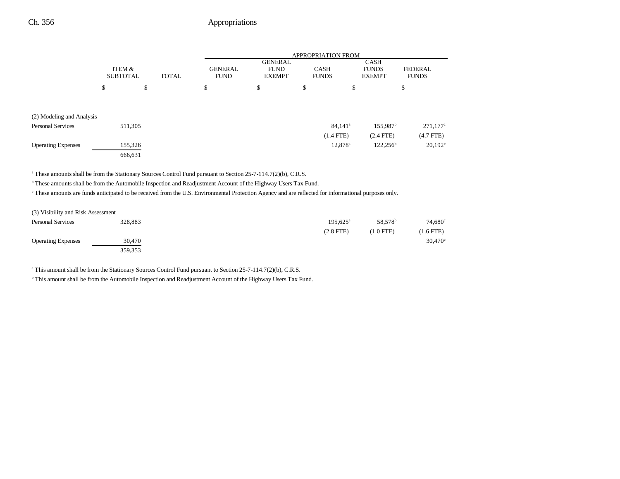|                           |                           |              | <b>APPROPRIATION FROM</b>     |                                                |                             |                                       |                                |
|---------------------------|---------------------------|--------------|-------------------------------|------------------------------------------------|-----------------------------|---------------------------------------|--------------------------------|
|                           | ITEM &<br><b>SUBTOTAL</b> | <b>TOTAL</b> | <b>GENERAL</b><br><b>FUND</b> | <b>GENERAL</b><br><b>FUND</b><br><b>EXEMPT</b> | <b>CASH</b><br><b>FUNDS</b> | CASH<br><b>FUNDS</b><br><b>EXEMPT</b> | <b>FEDERAL</b><br><b>FUNDS</b> |
|                           | \$                        | \$           | \$                            | \$                                             | \$<br>\$                    |                                       | \$                             |
| (2) Modeling and Analysis |                           |              |                               |                                                |                             |                                       |                                |
| <b>Personal Services</b>  | 511,305                   |              |                               |                                                | $84,141$ <sup>a</sup>       | $155,987$ <sup>b</sup>                | $271,177$ °                    |
|                           |                           |              |                               |                                                | $(1.4$ FTE)                 | $(2.4$ FTE)                           | $(4.7$ FTE $)$                 |
| <b>Operating Expenses</b> | 155,326                   |              |                               |                                                | 12,878 <sup>a</sup>         | $122,256^{\circ}$                     | $20,192^{\circ}$               |
|                           | 666,631                   |              |                               |                                                |                             |                                       |                                |

a These amounts shall be from the Stationary Sources Control Fund pursuant to Section 25-7-114.7(2)(b), C.R.S.

b These amounts shall be from the Automobile Inspection and Readjustment Account of the Highway Users Tax Fund.

c These amounts are funds anticipated to be received from the U.S. Environmental Protection Agency and are reflected for informational purposes only.

| (3) Visibility and Risk Assessment |         |                   |                     |             |
|------------------------------------|---------|-------------------|---------------------|-------------|
| <b>Personal Services</b>           | 328.883 | $195.625^{\circ}$ | 58.578 <sup>b</sup> | 74.680      |
|                                    |         | $(2.8$ FTE)       | $(1.0$ FTE)         | $(1.6$ FTE) |
| <b>Operating Expenses</b>          | 30.470  |                   |                     | 30,470      |
|                                    | 359,353 |                   |                     |             |

<sup>a</sup> This amount shall be from the Stationary Sources Control Fund pursuant to Section 25-7-114.7(2)(b), C.R.S.

b This amount shall be from the Automobile Inspection and Readjustment Account of the Highway Users Tax Fund.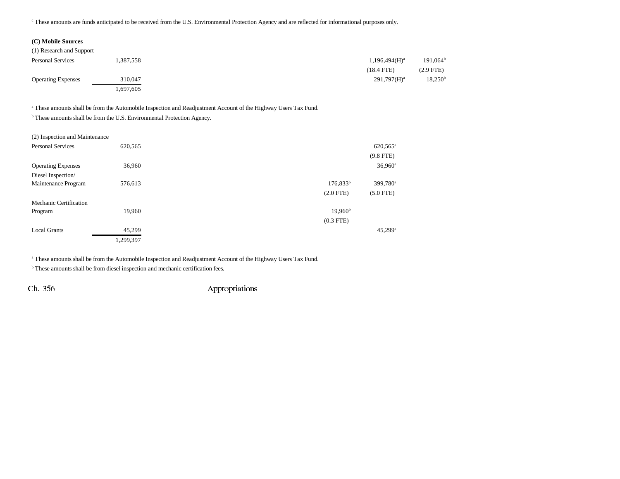c These amounts are funds anticipated to be received from the U.S. Environmental Protection Agency and are reflected for informational purposes only.

### **(C) Mobile Sources**

| (1) Research and Support  |          |                  |                  |
|---------------------------|----------|------------------|------------------|
| <b>Personal Services</b>  | .387,558 | $1,196,494(H)^a$ | $191,064^b$      |
|                           |          | $(18.4$ FTE)     | (2.9 FTE)        |
| <b>Operating Expenses</b> | 310,047  | $291,797(H)^a$   | $18,250^{\rm b}$ |
|                           | .697,605 |                  |                  |

<sup>a</sup> These amounts shall be from the Automobile Inspection and Readjustment Account of the Highway Users Tax Fund.

b These amounts shall be from the U.S. Environmental Protection Agency.

| (2) Inspection and Maintenance |           |                                     |
|--------------------------------|-----------|-------------------------------------|
| <b>Personal Services</b>       | 620,565   | 620,565 <sup>a</sup>                |
|                                |           | $(9.8$ FTE)                         |
| <b>Operating Expenses</b>      | 36,960    | $36,960^{\rm a}$                    |
| Diesel Inspection/             |           |                                     |
| Maintenance Program            | 576,613   | $176,833^b$<br>399,780 <sup>a</sup> |
|                                |           | $(2.0$ FTE)<br>$(5.0$ FTE)          |
| Mechanic Certification         |           |                                     |
| Program                        | 19,960    | $19,960^{\rm b}$                    |
|                                |           | $(0.3$ FTE)                         |
| <b>Local Grants</b>            | 45,299    | $45,299$ <sup>a</sup>               |
|                                | 1,299,397 |                                     |

a These amounts shall be from the Automobile Inspection and Readjustment Account of the Highway Users Tax Fund.

b These amounts shall be from diesel inspection and mechanic certification fees.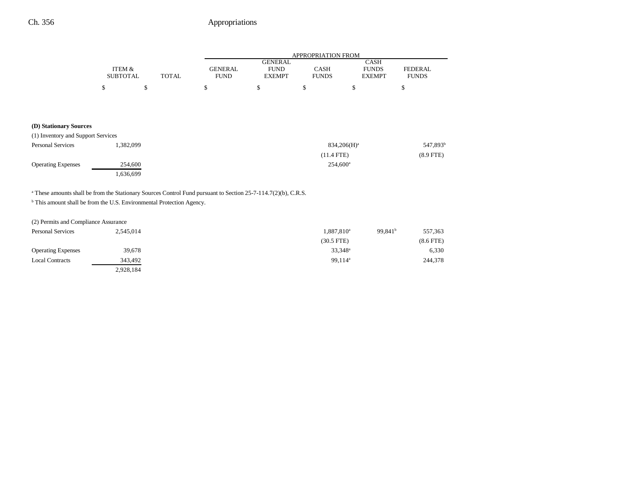|                 |       | APPROPRIATION FROM |               |              |               |              |
|-----------------|-------|--------------------|---------------|--------------|---------------|--------------|
|                 |       |                    | GENERAL       |              | CASH          |              |
| ITEM &          |       | GENERAL            | <b>FUND</b>   | CASH         | <b>FUNDS</b>  | FEDERAL.     |
| <b>SUBTOTAL</b> | TOTAL | <b>FUND</b>        | <b>EXEMPT</b> | <b>FUNDS</b> | <b>EXEMPT</b> | <b>FUNDS</b> |
| S               |       |                    |               |              |               |              |

### **(D) Stationary Sources**

| (1) Inventory and Support Services |           |                   |                      |  |
|------------------------------------|-----------|-------------------|----------------------|--|
| <b>Personal Services</b>           | 1.382.099 | $834,206(H)^a$    | 547,893 <sup>t</sup> |  |
|                                    |           | $(11.4$ FTE)      | $(8.9$ FTE)          |  |
| <b>Operating Expenses</b>          | 254,600   | $254.600^{\circ}$ |                      |  |
|                                    | 1,636,699 |                   |                      |  |

a These amounts shall be from the Stationary Sources Control Fund pursuant to Section 25-7-114.7(2)(b), C.R.S.

b This amount shall be from the U.S. Environmental Protection Agency.

| (2) Permits and Compliance Assurance |           |                        |                     |                |
|--------------------------------------|-----------|------------------------|---------------------|----------------|
| <b>Personal Services</b>             | 2.545.014 | 1,887,810 <sup>a</sup> | 99.841 <sup>b</sup> | 557,363        |
|                                      |           | $(30.5$ FTE)           |                     | $(8.6$ FTE $)$ |
| <b>Operating Expenses</b>            | 39,678    | $33,348^{\rm a}$       |                     | 6,330          |
| <b>Local Contracts</b>               | 343,492   | 99,114 <sup>a</sup>    |                     | 244,378        |
|                                      | 2,928,184 |                        |                     |                |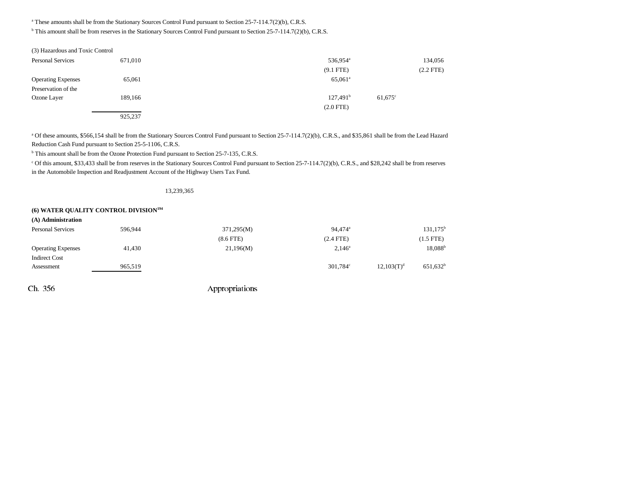a These amounts shall be from the Stationary Sources Control Fund pursuant to Section 25-7-114.7(2)(b), C.R.S.

b This amount shall be from reserves in the Stationary Sources Control Fund pursuant to Section 25-7-114.7(2)(b), C.R.S.

| (3) Hazardous and Toxic Control |         |                      |                       |
|---------------------------------|---------|----------------------|-----------------------|
| <b>Personal Services</b>        | 671,010 | 536,954 <sup>a</sup> | 134,056               |
|                                 |         | $(9.1$ FTE)          | $(2.2$ FTE)           |
| <b>Operating Expenses</b>       | 65,061  | 65,061 <sup>a</sup>  |                       |
| Preservation of the             |         |                      |                       |
| Ozone Layer                     | 189,166 | 127,491 <sup>b</sup> | $61,675$ <sup>c</sup> |
|                                 |         | $(2.0$ FTE)          |                       |
|                                 | 925,237 |                      |                       |

<sup>a</sup> Of these amounts, \$566,154 shall be from the Stationary Sources Control Fund pursuant to Section 25-7-114.7(2)(b), C.R.S., and \$35,861 shall be from the Lead Hazard Reduction Cash Fund pursuant to Section 25-5-1106, C.R.S.

b This amount shall be from the Ozone Protection Fund pursuant to Section 25-7-135, C.R.S.

c Of this amount, \$33,433 shall be from reserves in the Stationary Sources Control Fund pursuant to Section 25-7-114.7(2)(b), C.R.S., and \$28,242 shall be from reserves in the Automobile Inspection and Readjustment Account of the Highway Users Tax Fund.

#### 13,239,365

# **(6) WATER QUALITY CONTROL DIVISION194**

| (A) Administration        |         |                |                      |                        |                    |
|---------------------------|---------|----------------|----------------------|------------------------|--------------------|
| <b>Personal Services</b>  | 596,944 | 371,295(M)     | 94,474 <sup>a</sup>  |                        | $131, 175^{\rm b}$ |
|                           |         | $(8.6$ FTE $)$ | $(2.4$ FTE)          |                        | $(1.5$ FTE)        |
| <b>Operating Expenses</b> | 41,430  | 21,196(M)      | $2,146^{\circ}$      |                        | $18,088^{\rm b}$   |
| <b>Indirect Cost</b>      |         |                |                      |                        |                    |
| Assessment                | 965,519 |                | 301,784 <sup>c</sup> | 12,103(T) <sup>d</sup> | $651,632^b$        |
|                           |         |                |                      |                        |                    |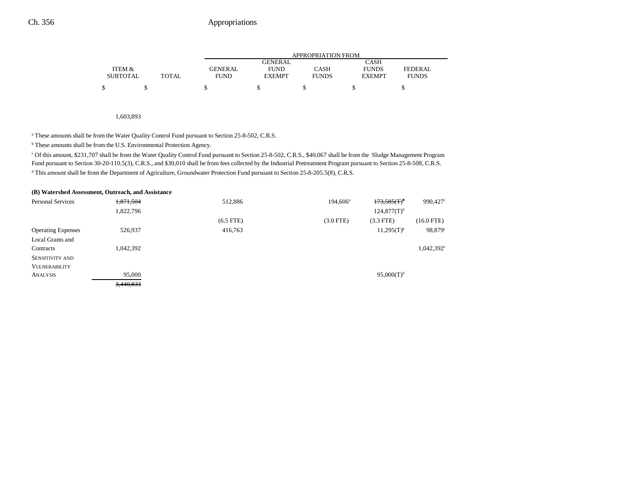|                 |       | APPROPRIATION FROM |                |              |               |              |  |
|-----------------|-------|--------------------|----------------|--------------|---------------|--------------|--|
|                 |       |                    | <b>GENERAL</b> |              | CASH          |              |  |
| ITEM &          |       | GENERAL            | <b>FUND</b>    | CASH         | <b>FUNDS</b>  | FEDERAL      |  |
| <b>SUBTOTAL</b> | TOTAL | <b>FUND</b>        | <b>EXEMPT</b>  | <b>FUNDS</b> | <b>EXEMPT</b> | <b>FUNDS</b> |  |
|                 |       |                    |                |              |               |              |  |

1,603,893

<sup>a</sup> These amounts shall be from the Water Quality Control Fund pursuant to Section 25-8-502, C.R.S.

b These amounts shall be from the U.S. Environmental Protection Agency.

c Of this amount, \$231,707 shall be from the Water Quality Control Fund pursuant to Section 25-8-502, C.R.S., \$40,067 shall be from the Sludge Management Program Fund pursuant to Section 30-20-110.5(3), C.R.S., and \$30,010 shall be from fees collected by the Industrial Pretreatment Program pursuant to Section 25-8-508, C.R.S. d This amount shall be from the Department of Agriculture, Groundwater Protection Fund pursuant to Section 25-8-205.5(8), C.R.S.

|                           | (B) Watershed Assessment, Outreach, and Assistance |             |                   |                          |              |
|---------------------------|----------------------------------------------------|-------------|-------------------|--------------------------|--------------|
| <b>Personal Services</b>  | 1,871,504                                          | 512,886     | $194,606^{\circ}$ | $173,585(T)^6$           | 990,427      |
|                           | 1,822,796                                          |             |                   | $124,877(T)^{b}$         |              |
|                           |                                                    | $(6.5$ FTE) | $(3.0$ FTE)       | $(3.3$ FTE)              | $(16.0$ FTE) |
| <b>Operating Expenses</b> | 526,937                                            | 416,763     |                   | $11,295(T)^{b}$          | 98,879       |
| Local Grants and          |                                                    |             |                   |                          |              |
| Contracts                 | 1,042,392                                          |             |                   |                          | 1,042,392    |
| <b>SENSITIVITY AND</b>    |                                                    |             |                   |                          |              |
| <b>VULNERABILITY</b>      |                                                    |             |                   |                          |              |
| <b>ANALYSIS</b>           | 95,000                                             |             |                   | $95,000(T)$ <sup>b</sup> |              |
|                           | 3,440,833                                          |             |                   |                          |              |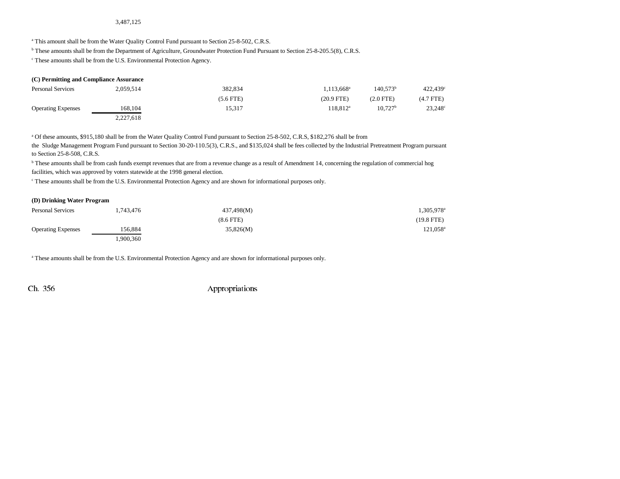#### 3,487,125

<sup>a</sup> This amount shall be from the Water Quality Control Fund pursuant to Section 25-8-502, C.R.S.

b These amounts shall be from the Department of Agriculture, Groundwater Protection Fund Pursuant to Section 25-8-205.5(8), C.R.S.

c These amounts shall be from the U.S. Environmental Protection Agency.

| (C) Permitting and Compliance Assurance |           |             |                          |                     |                  |  |  |
|-----------------------------------------|-----------|-------------|--------------------------|---------------------|------------------|--|--|
| <b>Personal Services</b>                | 2,059,514 | 382.834     | $1.113.668$ <sup>a</sup> | $140.573^b$         | 422.439°         |  |  |
|                                         |           | $(5.6$ FTE) | $(20.9$ FTE)             | $(2.0$ FTE $)$      | $(4.7$ FTE)      |  |  |
| <b>Operating Expenses</b>               | 168,104   | 15,317      | $118.812^a$              | 10.727 <sup>b</sup> | $23,248^{\circ}$ |  |  |
|                                         | 2,227,618 |             |                          |                     |                  |  |  |

a Of these amounts, \$915,180 shall be from the Water Quality Control Fund pursuant to Section 25-8-502, C.R.S, \$182,276 shall be from

the Sludge Management Program Fund pursuant to Section 30-20-110.5(3), C.R.S., and \$135,024 shall be fees collected by the Industrial Pretreatment Program pursuant to Section 25-8-508, C.R.S.

<sup>b</sup> These amounts shall be from cash funds exempt revenues that are from a revenue change as a result of Amendment 14, concerning the regulation of commercial hog facilities, which was approved by voters statewide at the 1998 general election.

c These amounts shall be from the U.S. Environmental Protection Agency and are shown for informational purposes only.

### **(D) Drinking Water Program**

| <b>Personal Services</b>  | 1,743,476 | 437,498(M)     | 1,305,978ª           |
|---------------------------|-----------|----------------|----------------------|
|                           |           | $(8.6$ FTE $)$ | $(19.8$ FTE)         |
| <b>Operating Expenses</b> | 156.884   | 35,826(M)      | 121,058 <sup>a</sup> |
|                           | ,900,360  |                |                      |

a These amounts shall be from the U.S. Environmental Protection Agency and are shown for informational purposes only.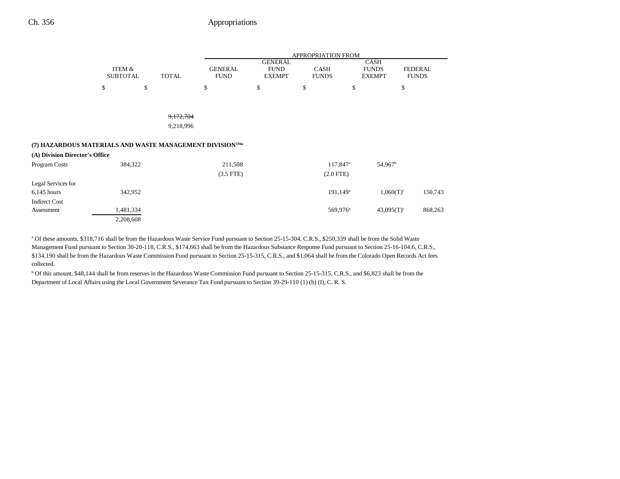# Ch. 356 Appropriations

|                                                                       |                           |              | APPROPRIATION FROM            |                                                |                             |                                              |                                |
|-----------------------------------------------------------------------|---------------------------|--------------|-------------------------------|------------------------------------------------|-----------------------------|----------------------------------------------|--------------------------------|
|                                                                       | ITEM &<br><b>SUBTOTAL</b> | <b>TOTAL</b> | <b>GENERAL</b><br><b>FUND</b> | <b>GENERAL</b><br><b>FUND</b><br><b>EXEMPT</b> | <b>CASH</b><br><b>FUNDS</b> | <b>CASH</b><br><b>FUNDS</b><br><b>EXEMPT</b> | <b>FEDERAL</b><br><b>FUNDS</b> |
|                                                                       | \$                        | \$           | \$                            | \$                                             | \$                          | \$                                           | \$                             |
|                                                                       |                           |              |                               |                                                |                             |                                              |                                |
|                                                                       |                           | 9,172,704    |                               |                                                |                             |                                              |                                |
|                                                                       |                           | 9,218,996    |                               |                                                |                             |                                              |                                |
| (7) HAZARDOUS MATERIALS AND WASTE MANAGEMENT DIVISION <sup>194a</sup> |                           |              |                               |                                                |                             |                                              |                                |
| (A) Division Director's Office                                        |                           |              |                               |                                                |                             |                                              |                                |
| Program Costs                                                         | 384,322                   |              | 211,508                       |                                                | 117,847 <sup>a</sup>        | 54,967 <sup>b</sup>                          |                                |
|                                                                       |                           |              | $(3.5$ FTE)                   |                                                | $(2.0$ FTE)                 |                                              |                                |
| Legal Services for                                                    |                           |              |                               |                                                |                             |                                              |                                |
| $6,145$ hours                                                         | 342,952                   |              |                               |                                                | 191,149 <sup>a</sup>        | $1,060(T)^c$                                 | 150,743                        |
| <b>Indirect Cost</b>                                                  |                           |              |                               |                                                |                             |                                              |                                |
| Assessment                                                            | 1,481,334                 |              |                               |                                                | 569,976 <sup>a</sup>        | $43,095(T)^c$                                | 868,263                        |
|                                                                       | 2,208,608                 |              |                               |                                                |                             |                                              |                                |

a Of these amounts, \$318,716 shall be from the Hazardous Waste Service Fund pursuant to Section 25-15-304, C.R.S., \$250,339 shall be from the Solid Waste Management Fund pursuant to Section 30-20-118, C.R.S., \$174,663 shall be from the Hazardous Substance Response Fund pursuant to Section 25-16-104.6, C.R.S., \$134,190 shall be from the Hazardous Waste Commission Fund pursuant to Section 25-15-315, C.R.S., and \$1,064 shall be from the Colorado Open Records Act fees collected.

b Of this amount, \$48,144 shall be from reserves in the Hazardous Waste Commission Fund pursuant to Section 25-15-315, C.R.S., and \$6,823 shall be from the Department of Local Affairs using the Local Government Severance Tax Fund pursuant to Section 39-29-110 (1) (b) (I), C. R. S.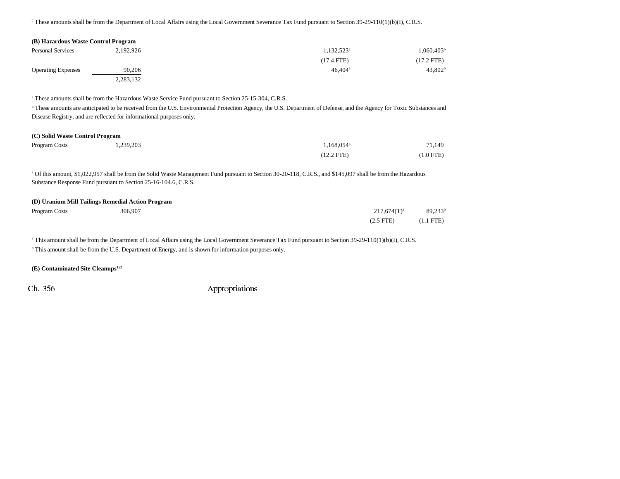c These amounts shall be from the Department of Local Affairs using the Local Government Severance Tax Fund pursuant to Section 39-29-110(1)(b)(I), C.R.S.

| (B) Hazardous Waste Control Program |           |                          |                        |
|-------------------------------------|-----------|--------------------------|------------------------|
| <b>Personal Services</b>            | 2.192.926 | $1.132.523$ <sup>a</sup> | 1,060,403 <sup>b</sup> |
|                                     |           | $(17.4$ FTE)             | $(17.2$ FTE)           |
| <b>Operating Expenses</b>           | 90,206    | $46.404^{\circ}$         | 43.802 <sup>b</sup>    |
|                                     | 2,283,132 |                          |                        |

a These amounts shall be from the Hazardous Waste Service Fund pursuant to Section 25-15-304, C.R.S.

**b** These amounts are anticipated to be received from the U.S. Environmental Protection Agency, the U.S. Department of Defense, and the Agency for Toxic Substances and Disease Registry, and are reflected for informational purposes only.

#### **(C) Solid Waste Control Program**

| Program Costs | 1,239,203 | $.168.054$ <sup>a</sup> | 71,149    |
|---------------|-----------|-------------------------|-----------|
|               |           | $(12.2$ FTE)            | (1.0 FTE) |

<sup>a</sup> Of this amount, \$1,022,957 shall be from the Solid Waste Management Fund pursuant to Section 30-20-118, C.R.S., and \$145,097 shall be from the Hazardous Substance Response Fund pursuant to Section 25-16-104.6, C.R.S.

#### **(D) Uranium Mill Tailings Remedial Action Program**

| Program Costs | 306.907 | $217,674(T)^a$ | $89,233^b$          |
|---------------|---------|----------------|---------------------|
|               |         | $(2.5$ FTE $)$ | $(1.1 \text{ FTE})$ |

<sup>a</sup> This amount shall be from the Department of Local Affairs using the Local Government Severance Tax Fund pursuant to Section 39-29-110(1)(b)(I), C.R.S. b This amount shall be from the U.S. Department of Energy, and is shown for information purposes only.

### **(E) Contaminated Site Cleanups152**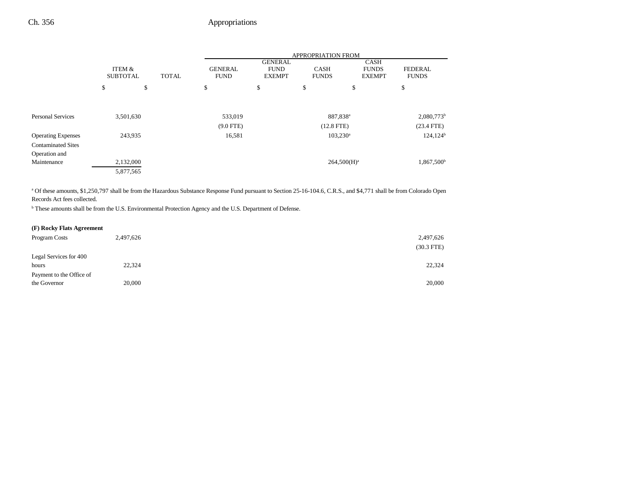|                           |                                           |    | APPROPRIATION FROM            |                                                |                             |                                              |                                |
|---------------------------|-------------------------------------------|----|-------------------------------|------------------------------------------------|-----------------------------|----------------------------------------------|--------------------------------|
|                           | ITEM &<br><b>SUBTOTAL</b><br><b>TOTAL</b> |    | <b>GENERAL</b><br><b>FUND</b> | <b>GENERAL</b><br><b>FUND</b><br><b>EXEMPT</b> | <b>CASH</b><br><b>FUNDS</b> | <b>CASH</b><br><b>FUNDS</b><br><b>EXEMPT</b> | <b>FEDERAL</b><br><b>FUNDS</b> |
|                           | \$                                        | \$ | \$                            | \$                                             | \$                          | \$                                           | \$                             |
|                           |                                           |    |                               |                                                |                             |                                              |                                |
| <b>Personal Services</b>  | 3,501,630                                 |    | 533,019                       |                                                | 887,838 <sup>a</sup>        |                                              | $2,080,773$ <sup>b</sup>       |
|                           |                                           |    | $(9.0$ FTE)                   |                                                | $(12.8$ FTE)                |                                              | $(23.4$ FTE)                   |
| <b>Operating Expenses</b> | 243,935                                   |    | 16,581                        |                                                | $103,230^{\circ}$           |                                              | $124,124^b$                    |
| <b>Contaminated Sites</b> |                                           |    |                               |                                                |                             |                                              |                                |
| Operation and             |                                           |    |                               |                                                |                             |                                              |                                |
| Maintenance               | 2,132,000                                 |    |                               |                                                | $264,500(H)^a$              |                                              | 1,867,500 <sup>b</sup>         |
|                           | 5,877,565                                 |    |                               |                                                |                             |                                              |                                |

<sup>a</sup> Of these amounts, \$1,250,797 shall be from the Hazardous Substance Response Fund pursuant to Section 25-16-104.6, C.R.S., and \$4,771 shall be from Colorado Open Records Act fees collected.

b These amounts shall be from the U.S. Environmental Protection Agency and the U.S. Department of Defense.

## **(F) Rocky Flats Agreement**

| Program Costs            | 2,497,626 | 2,497,626    |
|--------------------------|-----------|--------------|
|                          |           | $(30.3$ FTE) |
| Legal Services for 400   |           |              |
| hours                    | 22,324    | 22,324       |
| Payment to the Office of |           |              |
| the Governor             | 20,000    | 20,000       |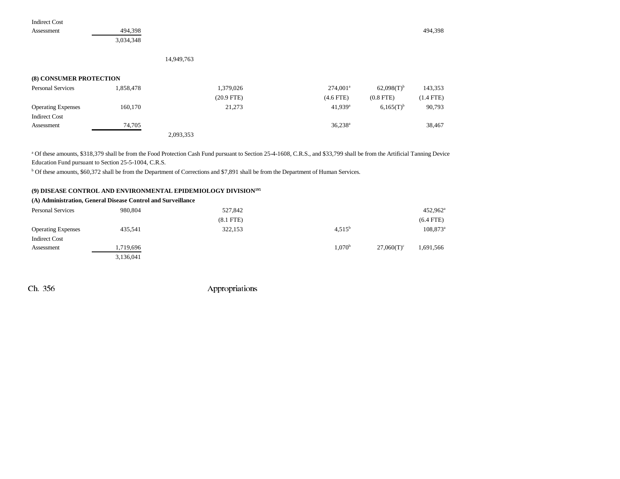Assessment 494,398 494,398 494,398 494,398 494,398 494,398 494,398 494,398 494,398 494,398 494,398 494,398 494,398

3,034,348

14,949,763

### **(8) CONSUMER PROTECTION**

| <b>Personal Services</b>  | 1,858,478 | 1,379,026    | $274,001^a$           | $62.098(T)^{b}$ | 143,353     |
|---------------------------|-----------|--------------|-----------------------|-----------------|-------------|
|                           |           | $(20.9$ FTE) | $(4.6$ FTE)           | $(0.8$ FTE)     | $(1.4$ FTE) |
| <b>Operating Expenses</b> | 160,170   | 21,273       | $41.939$ <sup>a</sup> | $6.165(T)^{b}$  | 90,793      |
| <b>Indirect Cost</b>      |           |              |                       |                 |             |
| Assessment                | 74.705    |              | $36,238^{\rm a}$      |                 | 38,467      |
|                           |           | 2,093,353    |                       |                 |             |

<sup>a</sup> Of these amounts, \$318,379 shall be from the Food Protection Cash Fund pursuant to Section 25-4-1608, C.R.S., and \$33,799 shall be from the Artificial Tanning Device Education Fund pursuant to Section 25-5-1004, C.R.S.

b Of these amounts, \$60,372 shall be from the Department of Corrections and \$7,891 shall be from the Department of Human Services.

### **(9) DISEASE CONTROL AND ENVIRONMENTAL EPIDEMIOLOGY DIVISION195**

### **(A) Administration, General Disease Control and Surveillance**

| <b>Personal Services</b>  | 980,804   | 527,842     |                 |               | $452,962^{\rm a}$ |
|---------------------------|-----------|-------------|-----------------|---------------|-------------------|
|                           |           | $(8.1$ FTE) |                 |               | $(6.4$ FTE)       |
| <b>Operating Expenses</b> | 435,541   | 322,153     | $4,515^{\rm b}$ |               | $108,873^{\circ}$ |
| <b>Indirect Cost</b>      |           |             |                 |               |                   |
| Assessment                | 1,719,696 |             | $1,070^{\rm b}$ | $27.060(T)^c$ | 1,691,566         |
|                           | 3,136,041 |             |                 |               |                   |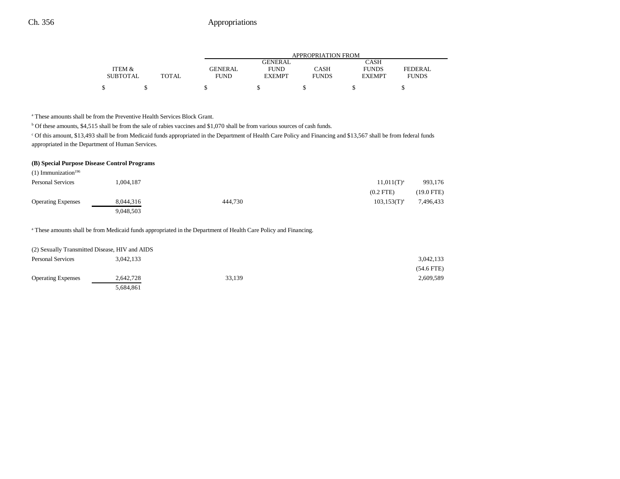|                 |              | APPROPRIATION FROM |               |              |               |              |
|-----------------|--------------|--------------------|---------------|--------------|---------------|--------------|
|                 |              |                    | GENERAL       |              | CASH          |              |
| ITEM &          |              | <b>GENERAL</b>     | <b>FUND</b>   | CASH         | <b>FUNDS</b>  | FEDERAL      |
| <b>SUBTOTAL</b> | <b>TOTAL</b> | FUND               | <b>EXEMPT</b> | <b>FUNDS</b> | <b>EXEMPT</b> | <b>FUNDS</b> |
| \$              |              |                    |               |              |               |              |

a These amounts shall be from the Preventive Health Services Block Grant.

<sup>b</sup> Of these amounts, \$4,515 shall be from the sale of rabies vaccines and \$1,070 shall be from various sources of cash funds.

c Of this amount, \$13,493 shall be from Medicaid funds appropriated in the Department of Health Care Policy and Financing and \$13,567 shall be from federal funds appropriated in the Department of Human Services.

#### **(B) Special Purpose Disease Control Programs**

| $(1)$ Immunization <sup>196</sup> |           |         |                   |              |
|-----------------------------------|-----------|---------|-------------------|--------------|
| <b>Personal Services</b>          | .004.187  |         | $11,011(T)^{a}$   | 993,176      |
|                                   |           |         | $(0.2$ FTE)       | $(19.0$ FTE) |
| <b>Operating Expenses</b>         | 8.044.316 | 444,730 | $103, 153(T)^{a}$ | 7,496,433    |
|                                   | 9,048,503 |         |                   |              |

a These amounts shall be from Medicaid funds appropriated in the Department of Health Care Policy and Financing.

| (2) Sexually Transmitted Disease, HIV and AIDS |           |        |              |
|------------------------------------------------|-----------|--------|--------------|
| <b>Personal Services</b>                       | 3.042.133 |        | 3,042,133    |
|                                                |           |        | $(54.6$ FTE) |
| <b>Operating Expenses</b>                      | 2,642,728 | 33,139 | 2,609,589    |
|                                                | 5,684,861 |        |              |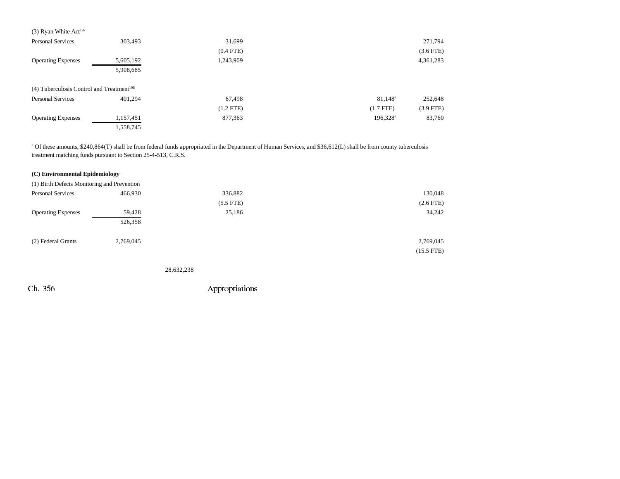| (3) Ryan White Act <sup>197</sup>                     |           |             |                        |             |
|-------------------------------------------------------|-----------|-------------|------------------------|-------------|
| <b>Personal Services</b>                              | 303,493   | 31,699      |                        | 271,794     |
|                                                       |           | $(0.4$ FTE) |                        | $(3.6$ FTE) |
| <b>Operating Expenses</b>                             | 5,605,192 | 1,243,909   |                        | 4,361,283   |
|                                                       | 5,908,685 |             |                        |             |
| (4) Tuberculosis Control and Treatment <sup>198</sup> |           |             |                        |             |
| <b>Personal Services</b>                              | 401.294   | 67,498      | $81,148^{\rm a}$       | 252,648     |
|                                                       |           | $(1.2$ FTE) | $(1.7$ FTE)            | $(3.9$ FTE) |
| <b>Operating Expenses</b>                             | 1,157,451 | 877,363     | $196,328$ <sup>a</sup> | 83,760      |
|                                                       | 1,558,745 |             |                        |             |

<sup>a</sup> Of these amounts, \$240,864(T) shall be from federal funds appropriated in the Department of Human Services, and \$36,612(L) shall be from county tuberculosis treatment matching funds pursuant to Section 25-4-513, C.R.S.

| (C) Environmental Epidemiology              |           |             |                |
|---------------------------------------------|-----------|-------------|----------------|
| (1) Birth Defects Monitoring and Prevention |           |             |                |
| <b>Personal Services</b>                    | 466,930   | 336,882     | 130,048        |
|                                             |           | $(5.5$ FTE) | $(2.6$ FTE $)$ |
| <b>Operating Expenses</b>                   | 59,428    | 25,186      | 34,242         |
|                                             | 526,358   |             |                |
| (2) Federal Grants                          | 2,769,045 |             | 2,769,045      |
|                                             |           |             | $(15.5$ FTE)   |
|                                             |           |             |                |

28,632,238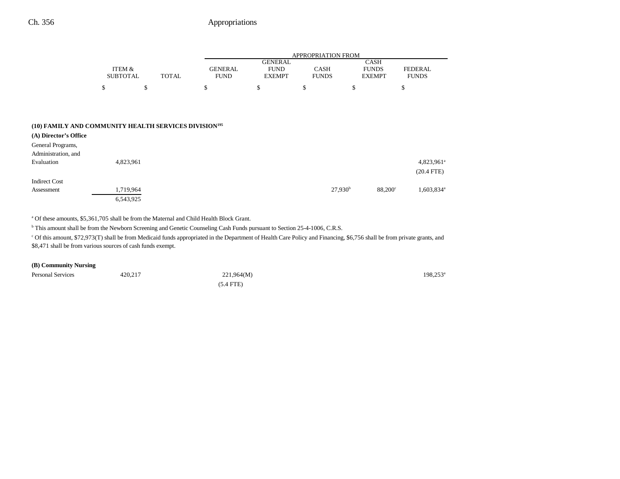|                                                                   |                 |                             | APPROPRIATION FROM |                               |              |                               |                        |
|-------------------------------------------------------------------|-----------------|-----------------------------|--------------------|-------------------------------|--------------|-------------------------------|------------------------|
|                                                                   | ITEM &          |                             | <b>GENERAL</b>     | <b>GENERAL</b><br><b>FUND</b> | <b>CASH</b>  | <b>CASH</b>                   | <b>FEDERAL</b>         |
|                                                                   | <b>SUBTOTAL</b> | <b>TOTAL</b><br><b>FUND</b> |                    | <b>EXEMPT</b>                 | <b>FUNDS</b> | <b>FUNDS</b><br><b>EXEMPT</b> | <b>FUNDS</b>           |
|                                                                   | \$              | \$                          | \$                 | \$                            | \$           | \$                            | \$                     |
|                                                                   |                 |                             |                    |                               |              |                               |                        |
|                                                                   |                 |                             |                    |                               |              |                               |                        |
| (10) FAMILY AND COMMUNITY HEALTH SERVICES DIVISION <sup>195</sup> |                 |                             |                    |                               |              |                               |                        |
| (A) Director's Office                                             |                 |                             |                    |                               |              |                               |                        |
| General Programs,                                                 |                 |                             |                    |                               |              |                               |                        |
| Administration, and                                               |                 |                             |                    |                               |              |                               |                        |
| Evaluation                                                        | 4,823,961       |                             |                    |                               |              |                               | 4,823,961 <sup>a</sup> |
|                                                                   |                 |                             |                    |                               |              |                               | $(20.4$ FTE)           |
| <b>Indirect Cost</b>                                              |                 |                             |                    |                               |              |                               |                        |
| Assessment                                                        | 1,719,964       |                             |                    |                               | $27,930^b$   | $88,200^\circ$                | 1,603,834 <sup>a</sup> |
|                                                                   | 6,543,925       |                             |                    |                               |              |                               |                        |

a Of these amounts, \$5,361,705 shall be from the Maternal and Child Health Block Grant.

<sup>b</sup> This amount shall be from the Newborn Screening and Genetic Counseling Cash Funds pursuant to Section 25-4-1006, C.R.S.

c Of this amount, \$72,973(T) shall be from Medicaid funds appropriated in the Department of Health Care Policy and Financing, \$6,756 shall be from private grants, and \$8,471 shall be from various sources of cash funds exempt.

### **(B) Community Nursing**

| <b>Personal Services</b><br>. | 420,217 | 221,964(M)  | $198,253^{\circ}$ |
|-------------------------------|---------|-------------|-------------------|
|                               |         | $(5.4$ FTE) |                   |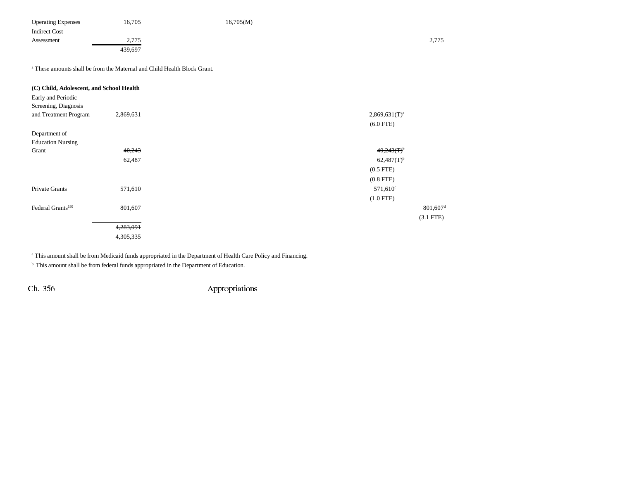| <b>Operating Expenses</b> | 16,705            | 16,705(M) |       |
|---------------------------|-------------------|-----------|-------|
| <b>Indirect Cost</b>      |                   |           |       |
| Assessment                | 775<br>$\sim$ 115 |           | 2,775 |
|                           | 439,697           |           |       |

a These amounts shall be from the Maternal and Child Health Block Grant.

| $801,607$ <sup>d</sup> |
|------------------------|
| $(3.1$ FTE)            |
|                        |
|                        |
|                        |

<sup>a</sup> This amount shall be from Medicaid funds appropriated in the Department of Health Care Policy and Financing.

 $<sup>b</sup>$  This amount shall be from federal funds appropriated in the Department of Education.</sup>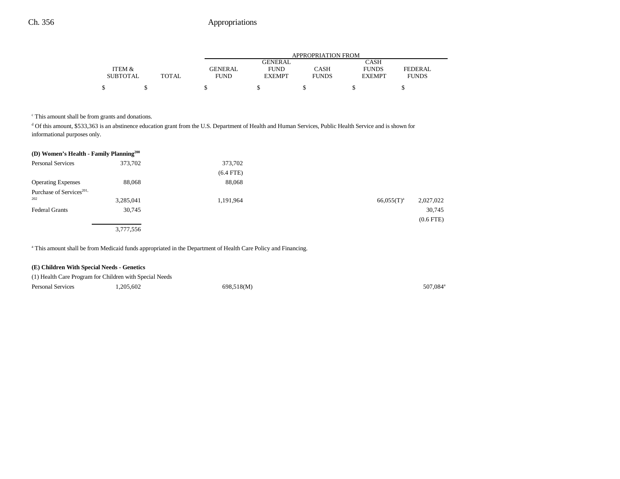|                 |       |                |               | APPROPRIATION FROM |               |                |
|-----------------|-------|----------------|---------------|--------------------|---------------|----------------|
|                 |       |                | GENERAL       |                    | <b>CASH</b>   |                |
| ITEM &          |       | <b>GENERAL</b> | <b>FUND</b>   | CASH               | <b>FUNDS</b>  | <b>FEDERAL</b> |
| <b>SUBTOTAL</b> | TOTAL | <b>FUND</b>    | <b>EXEMPT</b> | <b>FUNDS</b>       | <b>EXEMPT</b> | <b>FUNDS</b>   |
|                 |       |                |               |                    |               |                |
|                 |       |                |               |                    |               |                |

c This amount shall be from grants and donations.

d Of this amount, \$533,363 is an abstinence education grant from the U.S. Department of Health and Human Services, Public Health Service and is shown for informational purposes only.

| (D) Women's Health - Family Planning <sup>200</sup> |           |             |                 |                |
|-----------------------------------------------------|-----------|-------------|-----------------|----------------|
| <b>Personal Services</b>                            | 373,702   | 373,702     |                 |                |
|                                                     |           | $(6.4$ FTE) |                 |                |
| <b>Operating Expenses</b>                           | 88,068    | 88,068      |                 |                |
| Purchase of Services <sup>201,</sup>                |           |             |                 |                |
| 202                                                 | 3,285,041 | 1,191,964   | $66.055(T)^{a}$ | 2,027,022      |
| <b>Federal Grants</b>                               | 30,745    |             |                 | 30,745         |
|                                                     |           |             |                 | $(0.6$ FTE $)$ |
|                                                     | 3,777,556 |             |                 |                |

<sup>a</sup> This amount shall be from Medicaid funds appropriated in the Department of Health Care Policy and Financing.

## **(E) Children With Special Needs - Genetics**

| (1) Health Care Program for Children with Special Needs |           |            |                      |
|---------------------------------------------------------|-----------|------------|----------------------|
| <b>Personal Services</b>                                | 1.205.602 | 698.518(M) | 507.084 <sup>°</sup> |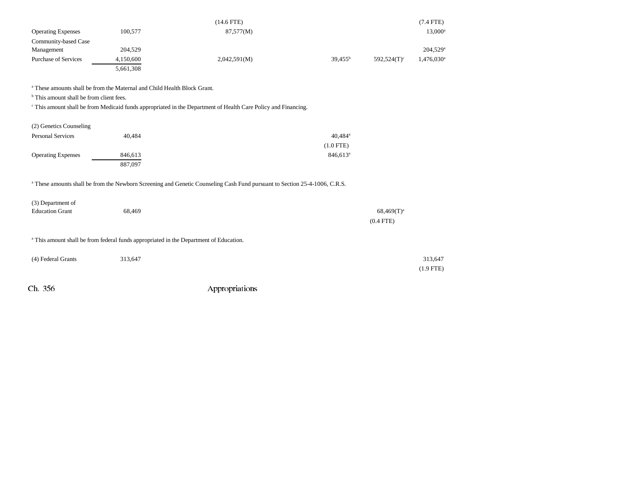|                             |           | (14.6 FTE)   |                  |                | $(7.4$ FTE)              |
|-----------------------------|-----------|--------------|------------------|----------------|--------------------------|
| <b>Operating Expenses</b>   | 100,577   | 87,577(M)    |                  |                | $13,000^{\rm a}$         |
| Community-based Case        |           |              |                  |                |                          |
| Management                  | 204,529   |              |                  |                | $204,529$ <sup>a</sup>   |
| <b>Purchase of Services</b> | 4,150,600 | 2,042,591(M) | $39.455^{\rm b}$ | $592.524(T)^c$ | $1,476,030$ <sup>a</sup> |
|                             | 5,661,308 |              |                  |                |                          |

a These amounts shall be from the Maternal and Child Health Block Grant.

<sup>b</sup> This amount shall be from client fees.

<sup>c</sup> This amount shall be from Medicaid funds appropriated in the Department of Health Care Policy and Financing.

| (2) Genetics Counseling   |         |                        |
|---------------------------|---------|------------------------|
| <b>Personal Services</b>  | 40.484  | $40.484$ <sup>a</sup>  |
|                           |         | $(1.0$ FTE)            |
| <b>Operating Expenses</b> | 846.613 | $846.613$ <sup>a</sup> |
|                           | 887,097 |                        |

a These amounts shall be from the Newborn Screening and Genetic Counseling Cash Fund pursuant to Section 25-4-1006, C.R.S.

| (3) Department of      |        |                 |
|------------------------|--------|-----------------|
| <b>Education Grant</b> | 68.469 | $68,469(T)^{a}$ |
|                        |        | $(0.4$ FTE)     |

a This amount shall be from federal funds appropriated in the Department of Education.

| (4) Federal Grants | 313,647 | 313,647     |
|--------------------|---------|-------------|
|                    |         | $(1.9$ FTE) |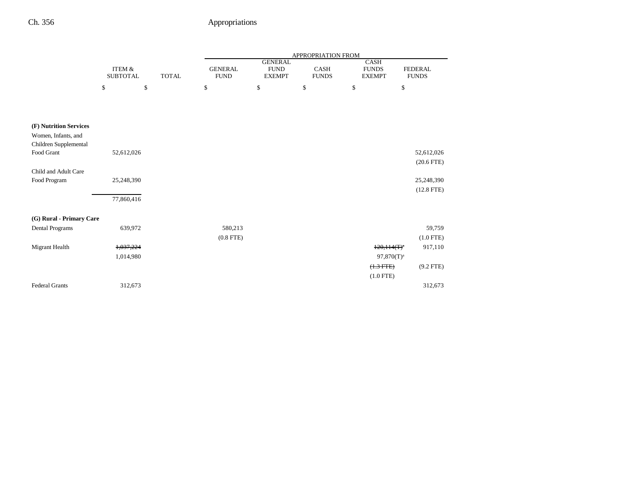|                                                    |                                      |              |              |                               |             |                                                |                      | APPROPRIATION FROM |                                              |                                |
|----------------------------------------------------|--------------------------------------|--------------|--------------|-------------------------------|-------------|------------------------------------------------|----------------------|--------------------|----------------------------------------------|--------------------------------|
|                                                    | <b>ITEM &amp;</b><br><b>SUBTOTAL</b> |              | <b>TOTAL</b> | <b>GENERAL</b><br><b>FUND</b> |             | <b>GENERAL</b><br><b>FUND</b><br><b>EXEMPT</b> | CASH<br><b>FUNDS</b> |                    | <b>CASH</b><br><b>FUNDS</b><br><b>EXEMPT</b> | <b>FEDERAL</b><br><b>FUNDS</b> |
|                                                    | \$                                   | $\mathbb{S}$ |              | \$                            |             | $\$$                                           | \$                   | \$                 |                                              | \$                             |
|                                                    |                                      |              |              |                               |             |                                                |                      |                    |                                              |                                |
|                                                    |                                      |              |              |                               |             |                                                |                      |                    |                                              |                                |
| (F) Nutrition Services                             |                                      |              |              |                               |             |                                                |                      |                    |                                              |                                |
| Women, Infants, and                                |                                      |              |              |                               |             |                                                |                      |                    |                                              |                                |
| Children Supplemental<br>Food Grant                | 52,612,026                           |              |              |                               |             |                                                |                      |                    |                                              |                                |
|                                                    |                                      |              |              |                               |             |                                                |                      |                    |                                              | 52,612,026                     |
| Child and Adult Care                               |                                      |              |              |                               |             |                                                |                      |                    |                                              | $(20.6$ FTE $)$                |
| Food Program                                       | 25,248,390                           |              |              |                               |             |                                                |                      |                    |                                              | 25,248,390                     |
|                                                    |                                      |              |              |                               |             |                                                |                      |                    |                                              | $(12.8$ FTE $)$                |
|                                                    | 77,860,416                           |              |              |                               |             |                                                |                      |                    |                                              |                                |
|                                                    |                                      |              |              |                               |             |                                                |                      |                    |                                              |                                |
| (G) Rural - Primary Care<br><b>Dental Programs</b> | 639,972                              |              |              |                               | 580,213     |                                                |                      |                    |                                              |                                |
|                                                    |                                      |              |              |                               | $(0.8$ FTE) |                                                |                      |                    |                                              | 59,759                         |
|                                                    |                                      |              |              |                               |             |                                                |                      |                    |                                              | $(1.0$ FTE)                    |
| Migrant Health                                     | 1,037,224                            |              |              |                               |             |                                                |                      |                    | $120,114(T)^{a}$                             | 917,110                        |
|                                                    | 1,014,980                            |              |              |                               |             |                                                |                      |                    | $97,870(T)^a$                                |                                |
|                                                    |                                      |              |              |                               |             |                                                |                      |                    | $(1.3 FTE)$                                  | $(9.2$ FTE)                    |
|                                                    |                                      |              |              |                               |             |                                                |                      |                    | $(1.0$ FTE)                                  |                                |
| <b>Federal Grants</b>                              | 312,673                              |              |              |                               |             |                                                |                      |                    |                                              | 312,673                        |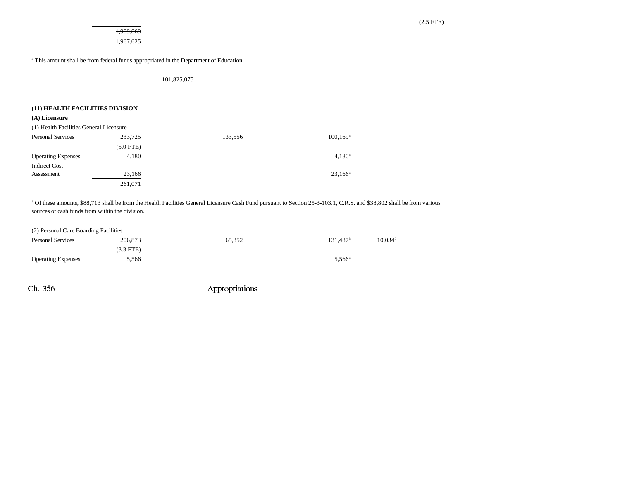1,989,869 1,967,625

a This amount shall be from federal funds appropriated in the Department of Education.

101,825,075

### **(11) HEALTH FACILITIES DIVISION**

#### **(A) Licensure**

| (1) Health Facilities General Licensure |             |         |                    |
|-----------------------------------------|-------------|---------|--------------------|
| <b>Personal Services</b>                | 233,725     | 133,556 | $100, 169^{\rm a}$ |
|                                         | $(5.0$ FTE) |         |                    |
| <b>Operating Expenses</b>               | 4,180       |         | $4,180^a$          |
| <b>Indirect Cost</b>                    |             |         |                    |
| Assessment                              | 23,166      |         | $23,166^{\rm a}$   |
|                                         | 261.071     |         |                    |

<sup>a</sup> Of these amounts, \$88,713 shall be from the Health Facilities General Licensure Cash Fund pursuant to Section 25-3-103.1, C.R.S. and \$38,802 shall be from various sources of cash funds from within the division.

#### (2) Personal Care Boarding Facilities

| <b>Personal Services</b>  | 206,873   | 65,352 | 131,487 <sup>a</sup> | 10.034 <sup>b</sup> |
|---------------------------|-----------|--------|----------------------|---------------------|
|                           | (3.3 FTE) |        |                      |                     |
| <b>Operating Expenses</b> | 5,566     |        | $5,566^{\circ}$      |                     |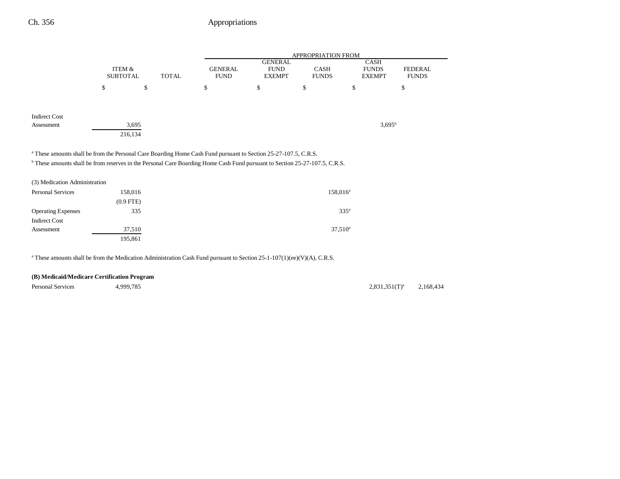|                      |                           |              |                                                                                                                            |                                                | <b>APPROPRIATION FROM</b>   |                                              |                                |
|----------------------|---------------------------|--------------|----------------------------------------------------------------------------------------------------------------------------|------------------------------------------------|-----------------------------|----------------------------------------------|--------------------------------|
|                      | ITEM &<br><b>SUBTOTAL</b> | <b>TOTAL</b> | <b>GENERAL</b><br><b>FUND</b>                                                                                              | <b>GENERAL</b><br><b>FUND</b><br><b>EXEMPT</b> | <b>CASH</b><br><b>FUNDS</b> | <b>CASH</b><br><b>FUNDS</b><br><b>EXEMPT</b> | <b>FEDERAL</b><br><b>FUNDS</b> |
|                      | \$                        | \$           | \$                                                                                                                         | \$                                             | \$                          | \$                                           | \$                             |
|                      |                           |              |                                                                                                                            |                                                |                             |                                              |                                |
| <b>Indirect Cost</b> |                           |              |                                                                                                                            |                                                |                             |                                              |                                |
| Assessment           |                           | 3,695        |                                                                                                                            |                                                |                             | $3.695^b$                                    |                                |
|                      |                           | 216,134      |                                                                                                                            |                                                |                             |                                              |                                |
|                      |                           |              | <sup>a</sup> These amounts shall be from the Personal Care Boarding Home Cash Fund pursuant to Section 25-27-107.5, C.R.S. |                                                |                             |                                              |                                |

b These amounts shall be from reserves in the Personal Care Boarding Home Cash Fund pursuant to Section 25-27-107.5, C.R.S.

| (3) Medication Administration |                |                  |
|-------------------------------|----------------|------------------|
| <b>Personal Services</b>      | 158,016        | $158,016^a$      |
|                               | $(0.9$ FTE $)$ |                  |
| <b>Operating Expenses</b>     | 335            | 335 <sup>a</sup> |
| <b>Indirect Cost</b>          |                |                  |
| Assessment                    | 37,510         | $37,510^a$       |
|                               | 195,861        |                  |

<sup>a</sup> These amounts shall be from the Medication Administration Cash Fund pursuant to Section 25-1-107(1)(ee)(V)(A), C.R.S.

## **(B) Medicaid/Medicare Certification Program**

Personal Services and 4,999,785 2,831,351(T)<sup>a</sup> 2,168,434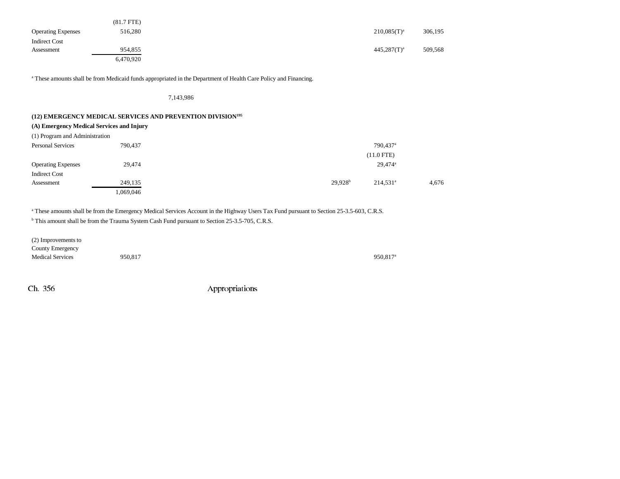|                           | $(81.7$ FTE) |                  |         |
|---------------------------|--------------|------------------|---------|
| <b>Operating Expenses</b> | 516,280      | $210,085(T)^{a}$ | 306,195 |
| Indirect Cost             |              |                  |         |
| Assessment                | 954,855      | $445,287(T)^a$   | 509,568 |
|                           | 6,470,920    |                  |         |

<sup>a</sup> These amounts shall be from Medicaid funds appropriated in the Department of Health Care Policy and Financing.

### 7,143,986

## **(12) EMERGENCY MEDICAL SERVICES AND PREVENTION DIVISION195**

| (A) Emergency Medical Services and Injury |  |  |  |  |
|-------------------------------------------|--|--|--|--|
|-------------------------------------------|--|--|--|--|

| (1) Program and Administration |           |                                    |       |
|--------------------------------|-----------|------------------------------------|-------|
| <b>Personal Services</b>       | 790,437   | 790,437 <sup>a</sup>               |       |
|                                |           | $(11.0$ FTE)                       |       |
| <b>Operating Expenses</b>      | 29,474    | $29,474$ <sup>a</sup>              |       |
| <b>Indirect Cost</b>           |           |                                    |       |
| Assessment                     | 249,135   | 29.928 <sup>b</sup><br>$214.531^a$ | 4,676 |
|                                | 1,069,046 |                                    |       |

a These amounts shall be from the Emergency Medical Services Account in the Highway Users Tax Fund pursuant to Section 25-3.5-603, C.R.S.

<sup>b</sup> This amount shall be from the Trauma System Cash Fund pursuant to Section 25-3.5-705, C.R.S.

| (2) Improvements to     |         |                      |
|-------------------------|---------|----------------------|
| County Emergency        |         |                      |
| <b>Medical Services</b> | 950,817 | 950,817 <sup>a</sup> |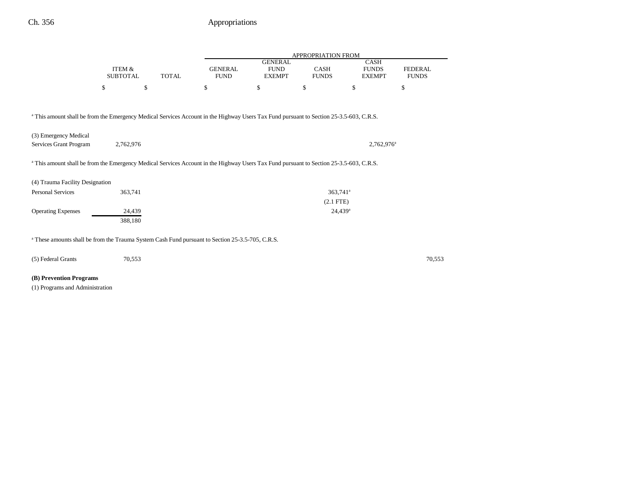|                                                                                                                                                    |                           |              | APPROPRIATION FROM            |                                                |                        |                                              |                                |  |
|----------------------------------------------------------------------------------------------------------------------------------------------------|---------------------------|--------------|-------------------------------|------------------------------------------------|------------------------|----------------------------------------------|--------------------------------|--|
|                                                                                                                                                    | ITEM &<br><b>SUBTOTAL</b> | <b>TOTAL</b> | <b>GENERAL</b><br><b>FUND</b> | <b>GENERAL</b><br><b>FUND</b><br><b>EXEMPT</b> | CASH<br><b>FUNDS</b>   | <b>CASH</b><br><b>FUNDS</b><br><b>EXEMPT</b> | <b>FEDERAL</b><br><b>FUNDS</b> |  |
|                                                                                                                                                    | \$<br>\$                  |              | \$                            | \$                                             | \$                     | \$                                           | \$                             |  |
| <sup>a</sup> This amount shall be from the Emergency Medical Services Account in the Highway Users Tax Fund pursuant to Section 25-3.5-603, C.R.S. |                           |              |                               |                                                |                        |                                              |                                |  |
|                                                                                                                                                    |                           |              |                               |                                                |                        |                                              |                                |  |
| (3) Emergency Medical                                                                                                                              |                           |              |                               |                                                |                        |                                              |                                |  |
| Services Grant Program                                                                                                                             | 2,762,976                 |              |                               |                                                |                        | 2,762,976 <sup>a</sup>                       |                                |  |
| <sup>a</sup> This amount shall be from the Emergency Medical Services Account in the Highway Users Tax Fund pursuant to Section 25-3.5-603, C.R.S. |                           |              |                               |                                                |                        |                                              |                                |  |
| (4) Trauma Facility Designation                                                                                                                    |                           |              |                               |                                                |                        |                                              |                                |  |
| <b>Personal Services</b>                                                                                                                           | 363,741                   |              |                               |                                                | $363,741$ <sup>a</sup> |                                              |                                |  |
|                                                                                                                                                    |                           |              |                               |                                                | $(2.1$ FTE)            |                                              |                                |  |
| <b>Operating Expenses</b>                                                                                                                          | 24,439                    |              |                               |                                                | $24,439^a$             |                                              |                                |  |
|                                                                                                                                                    | 388,180                   |              |                               |                                                |                        |                                              |                                |  |
| <sup>a</sup> These amounts shall be from the Trauma System Cash Fund pursuant to Section 25-3.5-705, C.R.S.                                        |                           |              |                               |                                                |                        |                                              |                                |  |
| (5) Federal Grants                                                                                                                                 | 70,553                    |              |                               |                                                |                        |                                              | 70,553                         |  |

# **(B) Prevention Programs**

(1) Programs and Administration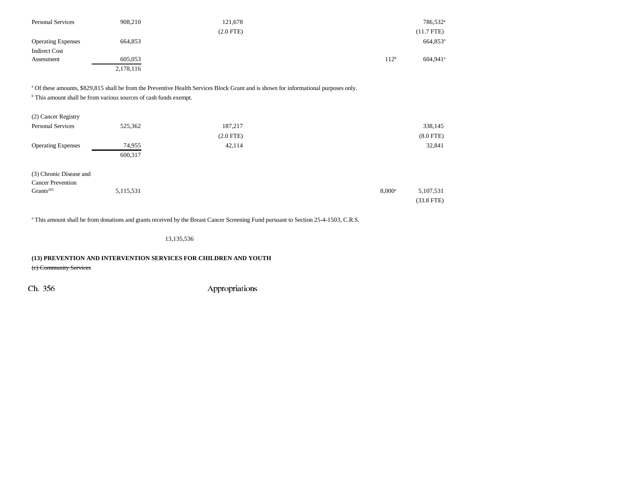| <b>Personal Services</b>  | 908,210   | 121,678        |                  | 786,532 <sup>a</sup> |
|---------------------------|-----------|----------------|------------------|----------------------|
|                           |           | $(2.0$ FTE $)$ |                  | $(11.7$ FTE)         |
| <b>Operating Expenses</b> | 664,853   |                |                  | 664,853 <sup>a</sup> |
| <b>Indirect Cost</b>      |           |                |                  |                      |
| Assessment                | 605,053   |                | 112 <sup>b</sup> | 604.941 <sup>a</sup> |
|                           | 2,178,116 |                |                  |                      |

a Of these amounts, \$829,815 shall be from the Preventive Health Services Block Grant and is shown for informational purposes only.

b This amount shall be from various sources of cash funds exempt.

| (2) Cancer Registry       |           |             |                 |              |
|---------------------------|-----------|-------------|-----------------|--------------|
| <b>Personal Services</b>  | 525,362   | 187,217     |                 | 338,145      |
|                           |           | $(2.0$ FTE) |                 | $(8.0$ FTE)  |
| <b>Operating Expenses</b> | 74,955    | 42,114      |                 | 32,841       |
|                           | 600,317   |             |                 |              |
| (3) Chronic Disease and   |           |             |                 |              |
| <b>Cancer Prevention</b>  |           |             |                 |              |
| Grants <sup>203</sup>     | 5,115,531 |             | $8,000^{\rm a}$ | 5,107,531    |
|                           |           |             |                 | $(33.8$ FTE) |

<sup>a</sup> This amount shall be from donations and grants received by the Breast Cancer Screening Fund pursuant to Section 25-4-1503, C.R.S.

13,135,536

**(13) PREVENTION AND INTERVENTION SERVICES FOR CHILDREN AND YOUTH** (c) Community Services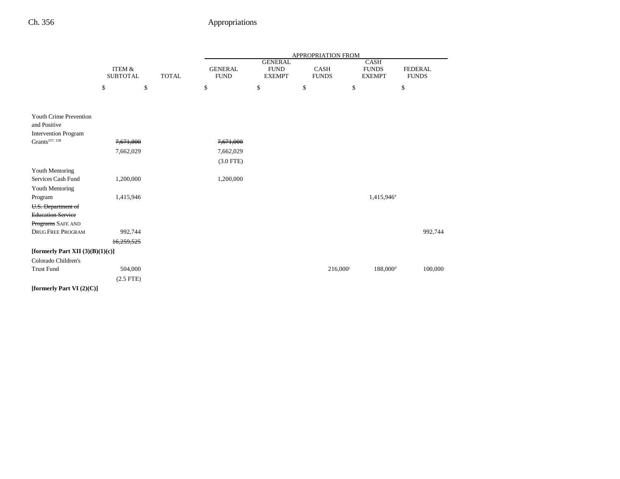|                                               |                                                      |              |                               | APPROPRIATION FROM                             |    |                      |                                       |                                |         |
|-----------------------------------------------|------------------------------------------------------|--------------|-------------------------------|------------------------------------------------|----|----------------------|---------------------------------------|--------------------------------|---------|
|                                               | <b>ITEM &amp;</b><br><b>SUBTOTAL</b><br><b>TOTAL</b> |              | <b>GENERAL</b><br><b>FUND</b> | <b>GENERAL</b><br><b>FUND</b><br><b>EXEMPT</b> |    | CASH<br><b>FUNDS</b> | CASH<br><b>FUNDS</b><br><b>EXEMPT</b> | <b>FEDERAL</b><br><b>FUNDS</b> |         |
|                                               | \$                                                   | $\mathbb{S}$ |                               | \$                                             | \$ | \$                   | \$                                    |                                | \$      |
|                                               |                                                      |              |                               |                                                |    |                      |                                       |                                |         |
| <b>Youth Crime Prevention</b><br>and Positive |                                                      |              |                               |                                                |    |                      |                                       |                                |         |
| <b>Intervention Program</b>                   |                                                      |              |                               |                                                |    |                      |                                       |                                |         |
| Grants <sup>157, 158</sup>                    | 7,671,000                                            |              |                               | 7,671,000                                      |    |                      |                                       |                                |         |
|                                               | 7,662,029                                            |              |                               | 7,662,029                                      |    |                      |                                       |                                |         |
|                                               |                                                      |              |                               | $(3.0$ FTE)                                    |    |                      |                                       |                                |         |
| Youth Mentoring                               |                                                      |              |                               |                                                |    |                      |                                       |                                |         |
| Services Cash Fund                            | 1,200,000                                            |              |                               | 1,200,000                                      |    |                      |                                       |                                |         |
| Youth Mentoring                               |                                                      |              |                               |                                                |    |                      |                                       |                                |         |
| Program                                       | 1,415,946                                            |              |                               |                                                |    |                      |                                       | 1,415,946 <sup>a</sup>         |         |
| U.S. Department of                            |                                                      |              |                               |                                                |    |                      |                                       |                                |         |
| <b>Education Service</b>                      |                                                      |              |                               |                                                |    |                      |                                       |                                |         |
| Programs SAFE AND                             |                                                      |              |                               |                                                |    |                      |                                       |                                |         |
| <b>DRUG FREE PROGRAM</b>                      |                                                      | 992,744      |                               |                                                |    |                      |                                       |                                | 992,744 |
|                                               | 16,259,525                                           |              |                               |                                                |    |                      |                                       |                                |         |
| [formerly Part XII $(3)(B)(1)(c)$ ]           |                                                      |              |                               |                                                |    |                      |                                       |                                |         |
| Colorado Children's                           |                                                      |              |                               |                                                |    |                      |                                       |                                |         |
| <b>Trust Fund</b>                             |                                                      | 504,000      |                               |                                                |    |                      | $216,000^{\circ}$                     | $188,000$ <sup>d</sup>         | 100,000 |
|                                               | $(2.5$ FTE)                                          |              |                               |                                                |    |                      |                                       |                                |         |
| [formerly Part VI $(2)(C)$ ]                  |                                                      |              |                               |                                                |    |                      |                                       |                                |         |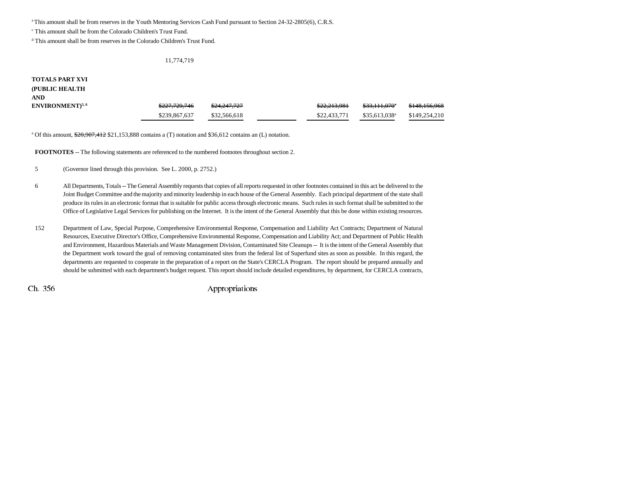a This amount shall be from reserves in the Youth Mentoring Services Cash Fund pursuant to Section 24-32-2805(6), C.R.S.

c This amount shall be from the Colorado Children's Trust Fund.

d This amount shall be from reserves in the Colorado Children's Trust Fund.

#### 11,774,719

# **TOTALS PART XVI (PUBLIC HEALTH ANDENVIRONMENT**)<sup>5,6</sup> 5227,729,746 \$24,247,727 \$22,213,981 \$33,111,070 \$148,156,968 \$239,867,637 \$32,566,618 \$22,433,771 \$35,613,038<sup>a</sup> \$149,254,210

<sup>a</sup> Of this amount, \$20,907,412 \$21,153,888 contains a (T) notation and \$36,612 contains an (L) notation.

**FOOTNOTES** -- The following statements are referenced to the numbered footnotes throughout section 2.

5 (Governor lined through this provision. See L. 2000, p. 2752.)

- 6 All Departments, Totals -- The General Assembly requests that copies of all reports requested in other footnotes contained in this act be delivered to the Joint Budget Committee and the majority and minority leadership in each house of the General Assembly. Each principal department of the state shall produce its rules in an electronic format that is suitable for public access through electronic means. Such rules in such format shall be submitted to the Office of Legislative Legal Services for publishing on the Internet. It is the intent of the General Assembly that this be done within existing resources.
- 152 Department of Law, Special Purpose, Comprehensive Environmental Response, Compensation and Liability Act Contracts; Department of Natural Resources, Executive Director's Office, Comprehensive Environmental Response, Compensation and Liability Act; and Department of Public Health and Environment, Hazardous Materials and Waste Management Division, Contaminated Site Cleanups -- It is the intent of the General Assembly that the Department work toward the goal of removing contaminated sites from the federal list of Superfund sites as soon as possible. In this regard, the departments are requested to cooperate in the preparation of a report on the State's CERCLA Program. The report should be prepared annually and should be submitted with each department's budget request. This report should include detailed expenditures, by department, for CERCLA contracts,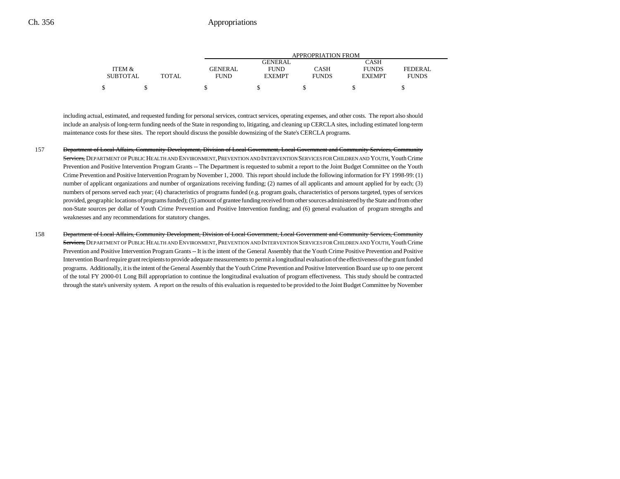|                 |       | APPROPRIATION FROM |                |              |               |              |  |
|-----------------|-------|--------------------|----------------|--------------|---------------|--------------|--|
|                 |       |                    | <b>GENERAL</b> |              | CASH          |              |  |
| ITEM &          |       | GENERAL            | <b>FUND</b>    | CASH         | <b>FUNDS</b>  | FEDERAL      |  |
| <b>SUBTOTAL</b> | TOTAL | <b>FUND</b>        | <b>EXEMPT</b>  | <b>FUNDS</b> | <b>EXEMPT</b> | <b>FUNDS</b> |  |
| \$              |       |                    |                |              |               |              |  |

including actual, estimated, and requested funding for personal services, contract services, operating expenses, and other costs. The report also should include an analysis of long-term funding needs of the State in responding to, litigating, and cleaning up CERCLA sites, including estimated long-term maintenance costs for these sites. The report should discuss the possible downsizing of the State's CERCLA programs.

- 157 Department of Local Affairs, Community Development, Division of Local Government, Local Government and Community Services, Community Services, DEPARTMENT OF PUBLIC HEALTH AND ENVIRONMENT, PREVENTION AND INTERVENTION SERVICES FOR CHILDREN AND YOUTH, Youth Crime Prevention and Positive Intervention Program Grants -- The Department is requested to submit a report to the Joint Budget Committee on the Youth Crime Prevention and Positive Intervention Program by November 1, 2000. This report should include the following information for FY 1998-99: (1) number of applicant organizations and number of organizations receiving funding; (2) names of all applicants and amount applied for by each; (3) numbers of persons served each year; (4) characteristics of programs funded (e.g. program goals, characteristics of persons targeted, types of services provided, geographic locations of programs funded); (5) amount of grantee funding received from other sources administered by the State and from other non-State sources per dollar of Youth Crime Prevention and Positive Intervention funding; and (6) general evaluation of program strengths and weaknesses and any recommendations for statutory changes.
- 158 Department of Local Affairs, Community Development, Division of Local Government, Local Government and Community Services, Community Services, DEPARTMENT OF PUBLIC HEALTH AND ENVIRONMENT, PREVENTION AND INTERVENTION SERVICES FOR CHILDREN AND YOUTH, Youth Crime Prevention and Positive Intervention Program Grants -- It is the intent of the General Assembly that the Youth Crime Positive Prevention and Positive Intervention Board require grant recipients to provide adequate measurements to permit a longitudinal evaluation of the effectiveness of the grant funded programs. Additionally, it is the intent of the General Assembly that the Youth Crime Prevention and Positive Intervention Board use up to one percent of the total FY 2000-01 Long Bill appropriation to continue the longitudinal evaluation of program effectiveness. This study should be contracted through the state's university system. A report on the results of this evaluation is requested to be provided to the Joint Budget Committee by November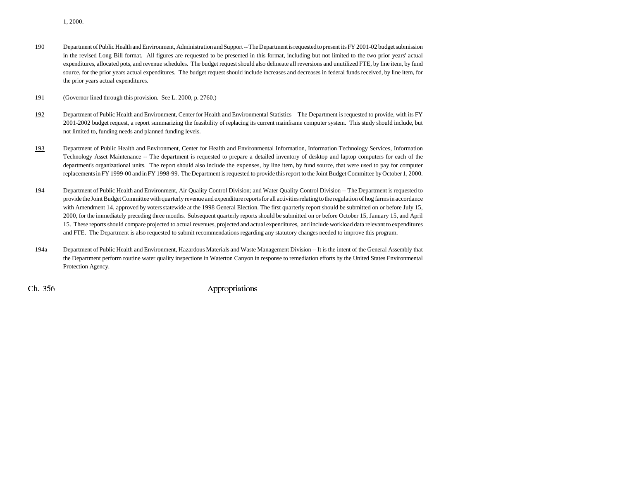190 Department of Public Health and Environment, Administration and Support -- The Department is requested to present its FY 2001-02 budget submission in the revised Long Bill format. All figures are requested to be presented in this format, including but not limited to the two prior years' actual expenditures, allocated pots, and revenue schedules. The budget request should also delineate all reversions and unutilized FTE, by line item, by fund source, for the prior years actual expenditures. The budget request should include increases and decreases in federal funds received, by line item, for the prior years actual expenditures.

191 (Governor lined through this provision. See L. 2000, p. 2760.)

- 192 Department of Public Health and Environment, Center for Health and Environmental Statistics – The Department is requested to provide, with its FY 2001-2002 budget request, a report summarizing the feasibility of replacing its current mainframe computer system. This study should include, but not limited to, funding needs and planned funding levels.
- 193 Department of Public Health and Environment, Center for Health and Environmental Information, Information Technology Services, Information Technology Asset Maintenance -- The department is requested to prepare a detailed inventory of desktop and laptop computers for each of the department's organizational units. The report should also include the expenses, by line item, by fund source, that were used to pay for computer replacements in FY 1999-00 and in FY 1998-99. The Department is requested to provide this report to the Joint Budget Committee by October 1, 2000.
- 194 Department of Public Health and Environment, Air Quality Control Division; and Water Quality Control Division -- The Department is requested to provide the Joint Budget Committee with quarterly revenue and expenditure reports for all activities relating to the regulation of hog farms in accordance with Amendment 14, approved by voters statewide at the 1998 General Election. The first quarterly report should be submitted on or before July 15, 2000, for the immediately preceding three months. Subsequent quarterly reports should be submitted on or before October 15, January 15, and April 15. These reports should compare projected to actual revenues, projected and actual expenditures, and include workload data relevant to expenditures and FTE. The Department is also requested to submit recommendations regarding any statutory changes needed to improve this program.
- 194a Department of Public Health and Environment, Hazardous Materials and Waste Management Division -- It is the intent of the General Assembly that the Department perform routine water quality inspections in Waterton Canyon in response to remediation efforts by the United States Environmental Protection Agency.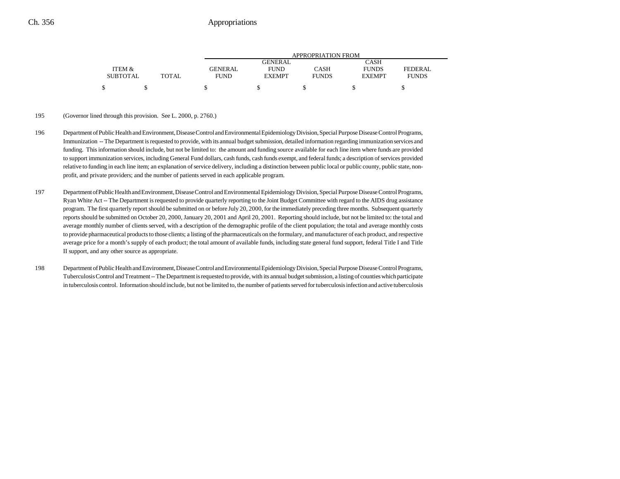|                 |              |                |               | APPROPRIATION FROM |               |              |
|-----------------|--------------|----------------|---------------|--------------------|---------------|--------------|
|                 |              |                | GENERAL       |                    | CASH          |              |
| ITEM &          |              | <b>GENERAL</b> | <b>FUND</b>   | CASH               | <b>FUNDS</b>  | FEDERAL      |
| <b>SUBTOTAL</b> | <b>TOTAL</b> | FUND           | <b>EXEMPT</b> | <b>FUNDS</b>       | <b>EXEMPT</b> | <b>FUNDS</b> |
|                 |              |                |               |                    |               |              |

#### 195 (Governor lined through this provision. See L. 2000, p. 2760.)

- 196 Department of Public Health and Environment, Disease Control and Environmental Epidemiology Division, Special Purpose Disease Control Programs, Immunization -- The Department is requested to provide, with its annual budget submission, detailed information regarding immunization services and funding. This information should include, but not be limited to: the amount and funding source available for each line item where funds are provided to support immunization services, including General Fund dollars, cash funds, cash funds exempt, and federal funds; a description of services provided relative to funding in each line item; an explanation of service delivery, including a distinction between public local or public county, public state, nonprofit, and private providers; and the number of patients served in each applicable program.
- 197 Department of Public Health and Environment, Disease Control and Environmental Epidemiology Division, Special Purpose Disease Control Programs, Ryan White Act -- The Department is requested to provide quarterly reporting to the Joint Budget Committee with regard to the AIDS drug assistance program. The first quarterly report should be submitted on or before July 20, 2000, for the immediately preceding three months. Subsequent quarterly reports should be submitted on October 20, 2000, January 20, 2001 and April 20, 2001. Reporting should include, but not be limited to: the total and average monthly number of clients served, with a description of the demographic profile of the client population; the total and average monthly costs to provide pharmaceutical products to those clients; a listing of the pharmaceuticals on the formulary, and manufacturer of each product, and respective average price for a month's supply of each product; the total amount of available funds, including state general fund support, federal Title I and Title II support, and any other source as appropriate.
- 198 Department of Public Health and Environment, Disease Control and Environmental Epidemiology Division, Special Purpose Disease Control Programs, Tuberculosis Control and Treatment -- The Department is requested to provide, with its annual budget submission, a listing of counties which participate in tuberculosis control. Information should include, but not be limited to, the number of patients served for tuberculosis infection and active tuberculosis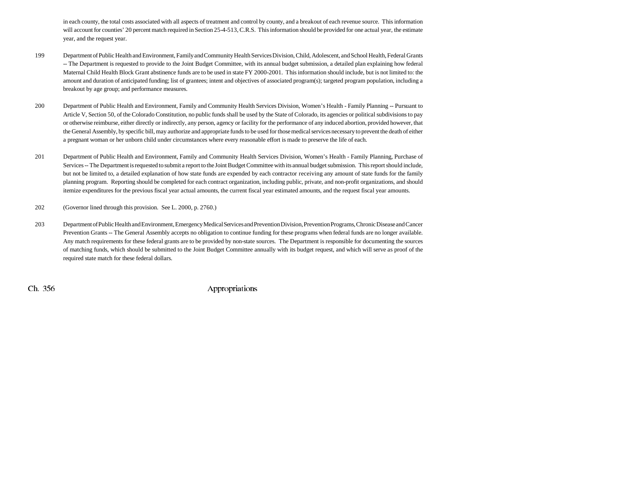in each county, the total costs associated with all aspects of treatment and control by county, and a breakout of each revenue source. This information will account for counties' 20 percent match required in Section 25-4-513, C.R.S. This information should be provided for one actual year, the estimate year, and the request year.

- 199 Department of Public Health and Environment, Family and Community Health Services Division, Child, Adolescent, and School Health, Federal Grants -- The Department is requested to provide to the Joint Budget Committee, with its annual budget submission, a detailed plan explaining how federal Maternal Child Health Block Grant abstinence funds are to be used in state FY 2000-2001. This information should include, but is not limited to: the amount and duration of anticipated funding; list of grantees; intent and objectives of associated program(s); targeted program population, including a breakout by age group; and performance measures.
- 200 Department of Public Health and Environment, Family and Community Health Services Division, Women's Health Family Planning -- Pursuant to Article V, Section 50, of the Colorado Constitution, no public funds shall be used by the State of Colorado, its agencies or political subdivisions to pay or otherwise reimburse, either directly or indirectly, any person, agency or facility for the performance of any induced abortion, provided however, that the General Assembly, by specific bill, may authorize and appropriate funds to be used for those medical services necessary to prevent the death of either a pregnant woman or her unborn child under circumstances where every reasonable effort is made to preserve the life of each.
- 201 Department of Public Health and Environment, Family and Community Health Services Division, Women's Health Family Planning, Purchase of Services -- The Department is requested to submit a report to the Joint Budget Committee with its annual budget submission. This report should include, but not be limited to, a detailed explanation of how state funds are expended by each contractor receiving any amount of state funds for the family planning program. Reporting should be completed for each contract organization, including public, private, and non-profit organizations, and should itemize expenditures for the previous fiscal year actual amounts, the current fiscal year estimated amounts, and the request fiscal year amounts.
- 202 (Governor lined through this provision. See L. 2000, p. 2760.)
- 203 Department of Public Health and Environment, Emergency Medical Services and Prevention Division, Prevention Programs, Chronic Disease and Cancer Prevention Grants -- The General Assembly accepts no obligation to continue funding for these programs when federal funds are no longer available. Any match requirements for these federal grants are to be provided by non-state sources. The Department is responsible for documenting the sources of matching funds, which should be submitted to the Joint Budget Committee annually with its budget request, and which will serve as proof of the required state match for these federal dollars.